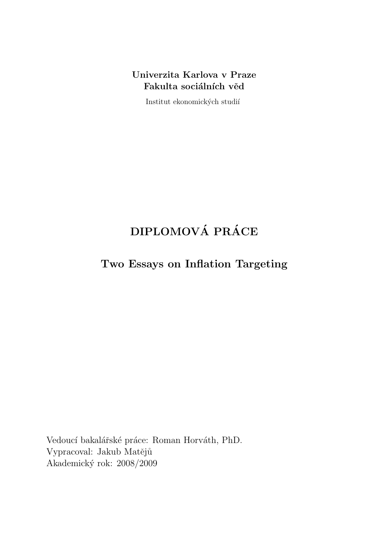## Univerzita Karlova v Praze Fakulta sociálních věd

Institut ekonomických studií

## DIPLOMOVÁ PRÁCE

Two Essays on Inflation Targeting

Vedoucí bakalářské práce: Roman Horváth, PhD. Vypracoval: Jakub Matějů Akademický rok: 2008/2009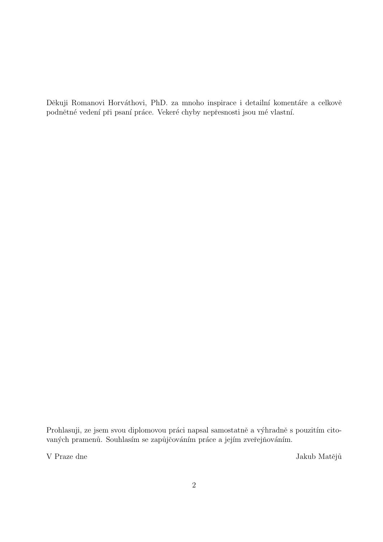Děkuji Romanovi Horváthovi, PhD. za mnoho inspirace i detailní komentáře a celkově podnětné vedení při psaní práce. Vekeré chyby nepřesnosti jsou mé vlastní.

Prohlasuji, ze jsem svou diplomovou práci napsal samostatně a výhradně s pouzitím citovaných pramenů. Souhlasím se zapůjčováním práce a jejím zveřejňováním.

V Praze dne Jakub Matějů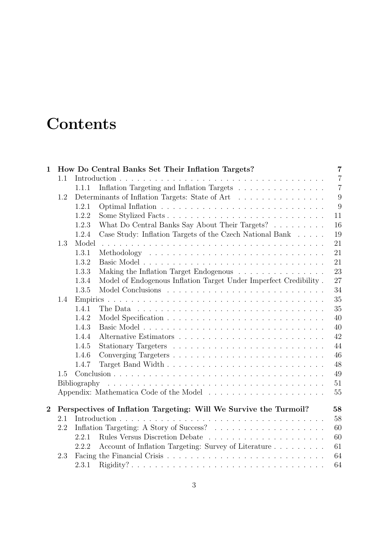# **Contents**

| How Do Central Banks Set Their Inflation Targets?<br>$\mathbf{1}$ |     |                                                                                                  |                |  |  |  |
|-------------------------------------------------------------------|-----|--------------------------------------------------------------------------------------------------|----------------|--|--|--|
|                                                                   | 1.1 |                                                                                                  | $\overline{7}$ |  |  |  |
|                                                                   |     | Inflation Targeting and Inflation Targets<br>1.1.1                                               | $\overline{7}$ |  |  |  |
|                                                                   | 1.2 | Determinants of Inflation Targets: State of Art                                                  | 9              |  |  |  |
|                                                                   |     | 1.2.1                                                                                            | 9              |  |  |  |
|                                                                   |     | Some Stylized Facts<br>1.2.2                                                                     | 11             |  |  |  |
|                                                                   |     | 1.2.3<br>What Do Central Banks Say About Their Targets?                                          | 16             |  |  |  |
|                                                                   |     | Case Study: Inflation Targets of the Czech National Bank<br>1.2.4                                | 19             |  |  |  |
|                                                                   | 1.3 | Model                                                                                            | 21             |  |  |  |
|                                                                   |     | 1.3.1                                                                                            | 21             |  |  |  |
|                                                                   |     | 1.3.2                                                                                            | 21             |  |  |  |
|                                                                   |     | Making the Inflation Target Endogenous<br>1.3.3                                                  | 23             |  |  |  |
|                                                                   |     | Model of Endogenous Inflation Target Under Imperfect Credibility.<br>1.3.4                       | 27             |  |  |  |
|                                                                   |     | 1.3.5                                                                                            | 34             |  |  |  |
|                                                                   | 1.4 |                                                                                                  | 35             |  |  |  |
|                                                                   |     | 1.4.1<br>The Data $\ldots \ldots \ldots \ldots \ldots \ldots \ldots \ldots \ldots \ldots \ldots$ | 35             |  |  |  |
|                                                                   |     | 1.4.2                                                                                            | 40             |  |  |  |
|                                                                   |     | 1.4.3                                                                                            | 40             |  |  |  |
|                                                                   |     | 1.4.4                                                                                            | 42             |  |  |  |
|                                                                   |     | 1.4.5                                                                                            | 44             |  |  |  |
|                                                                   |     | 1.4.6                                                                                            | 46             |  |  |  |
|                                                                   |     | 1.4.7                                                                                            | 48             |  |  |  |
|                                                                   | 1.5 |                                                                                                  | 49             |  |  |  |
|                                                                   |     | Bibliography                                                                                     | 51             |  |  |  |
|                                                                   |     |                                                                                                  | 55             |  |  |  |
| $\overline{2}$                                                    |     | Perspectives of Inflation Targeting: Will We Survive the Turmoil?                                | 58             |  |  |  |
|                                                                   | 2.1 |                                                                                                  | 58             |  |  |  |
|                                                                   | 2.2 |                                                                                                  | 60             |  |  |  |
|                                                                   |     | 2.2.1                                                                                            | 60             |  |  |  |
|                                                                   |     | Account of Inflation Targeting: Survey of Literature<br>2.2.2                                    | 61             |  |  |  |
|                                                                   | 2.3 |                                                                                                  | 64             |  |  |  |
|                                                                   |     | 2.3.1                                                                                            | 64             |  |  |  |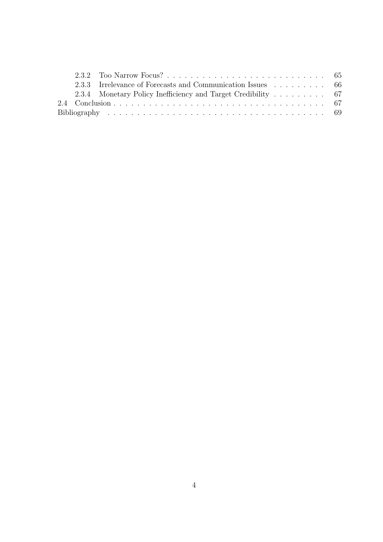|  | 2.3.3 Irrelevance of Forecasts and Communication Issues 66   |  |
|--|--------------------------------------------------------------|--|
|  | 2.3.4 Monetary Policy Inefficiency and Target Credibility 67 |  |
|  |                                                              |  |
|  |                                                              |  |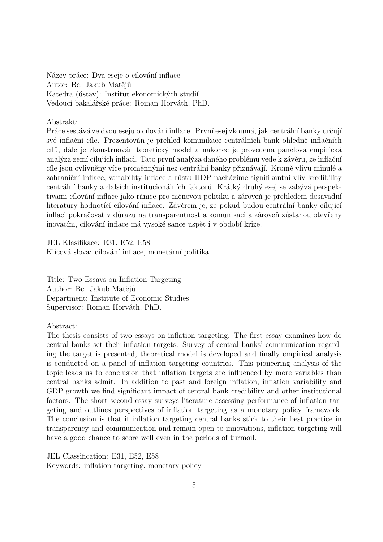Název práce: Dva eseje o cílování inflace Autor: Bc. Jakub Matějů Katedra (ústav): Institut ekonomických studií Vedoucí bakalářské práce: Roman Horváth, PhD.

Abstrakt:

Práce sestává ze dvou esejů o cílování inflace. První esej zkoumá, jak centrální banky určují své inflační cíle. Prezentován je přehled komunikace centrálních bank ohledně inflačních cílů, dále je zkoustruován teoretický model a nakonec je provedena panelová empirická analýza zemí cílujích inflaci. Tato první analýza daného problému vede k závěru, ze inflační cíle jsou ovlivněny více proměnnými nez centrální banky přiznávají. Kromě vlivu minulé a zahraniční inflace, variability inflace a růstu HDP nacházíme signifikantní vliv kredibility centrální banky a dalsích institucionálních faktorů. Krátký druhý esej se zabývá perspektivami cílování inflace jako rámce pro měnovou politiku a zároveň je přehledem dosavadní literatury hodnotící cílování inflace. Závěrem je, ze pokud budou centrální banky cílující inflaci pokračovat v důrazu na transparentnost a komunikaci a zároveň zůstanou otevřeny inovacím, cílování inflace má vysoké sance uspět i v období krize.

JEL Klasifikace: E31, E52, E58 Klíčová slova: cílování inflace, monetární politika

Title: Two Essays on Inflation Targeting Author: Bc. Jakub Matějů Department: Institute of Economic Studies Supervisor: Roman Horváth, PhD.

Abstract:

The thesis consists of two essays on inflation targeting. The first essay examines how do central banks set their inflation targets. Survey of central banks' communication regarding the target is presented, theoretical model is developed and finally empirical analysis is conducted on a panel of inflation targeting countries. This pioneering analysis of the topic leads us to conclusion that inflation targets are influenced by more variables than central banks admit. In addition to past and foreign inflation, inflation variability and GDP growth we find significant impact of central bank credibility and other institutional factors. The short second essay surveys literature assessing performance of inflation targeting and outlines perspectives of inflation targeting as a monetary policy framework. The conclusion is that if inflation targeting central banks stick to their best practice in transparency and communication and remain open to innovations, inflation targeting will have a good chance to score well even in the periods of turmoil.

JEL Classification: E31, E52, E58 Keywords: inflation targeting, monetary policy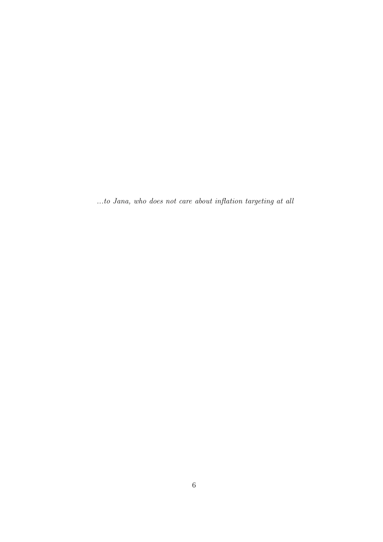...to Jana, who does not care about inflation targeting at all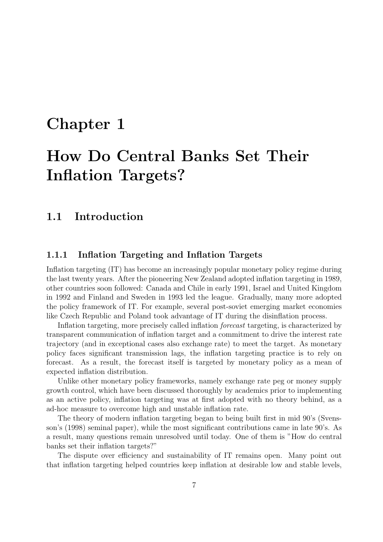## Chapter 1

# How Do Central Banks Set Their Inflation Targets?

## 1.1 Introduction

## 1.1.1 Inflation Targeting and Inflation Targets

Inflation targeting (IT) has become an increasingly popular monetary policy regime during the last twenty years. After the pioneering New Zealand adopted inflation targeting in 1989, other countries soon followed: Canada and Chile in early 1991, Israel and United Kingdom in 1992 and Finland and Sweden in 1993 led the league. Gradually, many more adopted the policy framework of IT. For example, several post-soviet emerging market economies like Czech Republic and Poland took advantage of IT during the disinflation process.

Inflation targeting, more precisely called inflation forecast targeting, is characterized by transparent communication of inflation target and a commitment to drive the interest rate trajectory (and in exceptional cases also exchange rate) to meet the target. As monetary policy faces significant transmission lags, the inflation targeting practice is to rely on forecast. As a result, the forecast itself is targeted by monetary policy as a mean of expected inflation distribution.

Unlike other monetary policy frameworks, namely exchange rate peg or money supply growth control, which have been discussed thoroughly by academics prior to implementing as an active policy, inflation targeting was at first adopted with no theory behind, as a ad-hoc measure to overcome high and unstable inflation rate.

The theory of modern inflation targeting began to being built first in mid 90's (Svensson's (1998) seminal paper), while the most significant contributions came in late 90's. As a result, many questions remain unresolved until today. One of them is "How do central banks set their inflation targets?"

The dispute over efficiency and sustainability of IT remains open. Many point out that inflation targeting helped countries keep inflation at desirable low and stable levels,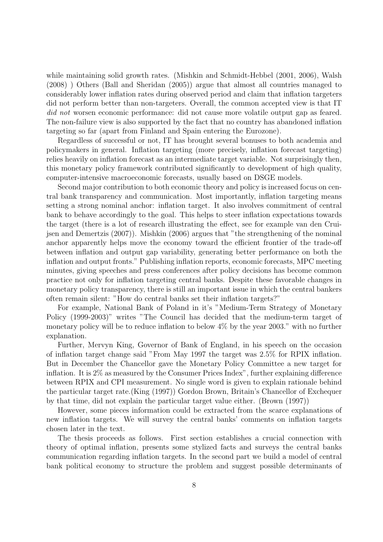while maintaining solid growth rates. (Mishkin and Schmidt-Hebbel (2001, 2006), Walsh (2008) ) Others (Ball and Sheridan (2005)) argue that almost all countries managed to considerably lower inflation rates during observed period and claim that inflation targeters did not perform better than non-targeters. Overall, the common accepted view is that IT did not worsen economic performance: did not cause more volatile output gap as feared. The non-failure view is also supported by the fact that no country has abandoned inflation targeting so far (apart from Finland and Spain entering the Eurozone).

Regardless of successful or not, IT has brought several bonuses to both academia and policymakers in general. Inflation targeting (more precisely, inflation forecast targeting) relies heavily on inflation forecast as an intermediate target variable. Not surprisingly then, this monetary policy framework contributed significantly to development of high quality, computer-intensive macroeconomic forecasts, usually based on DSGE models.

Second major contribution to both economic theory and policy is increased focus on central bank transparency and communication. Most importantly, inflation targeting means setting a strong nominal anchor: inflation target. It also involves commitment of central bank to behave accordingly to the goal. This helps to steer inflation expectations towards the target (there is a lot of research illustrating the effect, see for example van den Cruijsen and Demertzis (2007)). Mishkin (2006) argues that "the strengthening of the nominal anchor apparently helps move the economy toward the efficient frontier of the trade-off between inflation and output gap variability, generating better performance on both the inflation and output fronts." Publishing inflation reports, economic forecasts, MPC meeting minutes, giving speeches and press conferences after policy decisions has become common practice not only for inflation targeting central banks. Despite these favorable changes in monetary policy transparency, there is still an important issue in which the central bankers often remain silent: "How do central banks set their inflation targets?"

For example, National Bank of Poland in it's "Medium-Term Strategy of Monetary Policy (1999-2003)" writes "The Council has decided that the medium-term target of monetary policy will be to reduce inflation to below 4% by the year 2003." with no further explanation.

Further, Mervyn King, Governor of Bank of England, in his speech on the occasion of inflation target change said "From May 1997 the target was 2.5% for RPIX inflation. But in December the Chancellor gave the Monetary Policy Committee a new target for inflation. It is 2% as measured by the Consumer Prices Index", further explaining difference between RPIX and CPI measurement. No single word is given to explain rationale behind the particular target rate.(King (1997)) Gordon Brown, Britain's Chancellor of Exchequer by that time, did not explain the particular target value either. (Brown (1997))

However, some pieces information could be extracted from the scarce explanations of new inflation targets. We will survey the central banks' comments on inflation targets chosen later in the text.

The thesis proceeds as follows. First section establishes a crucial connection with theory of optimal inflation, presents some stylized facts and surveys the central banks communication regarding inflation targets. In the second part we build a model of central bank political economy to structure the problem and suggest possible determinants of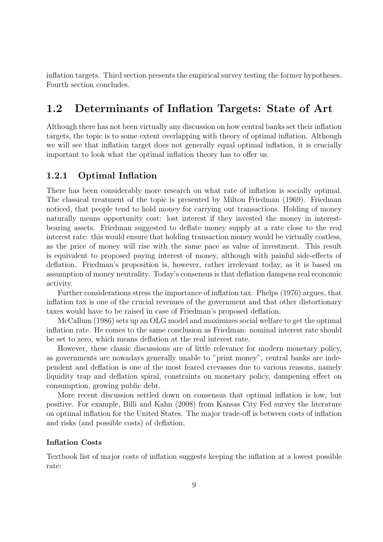inflation targets. Third section presents the empirical survey testing the former hypotheses. Fourth section concludes.

## 1.2 Determinants of Inflation Targets: State of Art

Although there has not been virtually any discussion on how central banks set their inflation targets, the topic is to some extent overlapping with theory of optimal inflation. Although we will see that inflation target does not generally equal optimal inflation, it is crucially important to look what the optimal inflation theory has to offer us.

## 1.2.1 Optimal Inflation

There has been considerably more research on what rate of inflation is socially optimal. The classical treatment of the topic is presented by Milton Friedman (1969). Friedman noticed, that people tend to hold money for carrying out transactions. Holding of money naturally means opportunity cost: lost interest if they invested the money in interestbearing assets. Friedman suggested to deflate money supply at a rate close to the real interest rate: this would ensure that holding transaction money would be virtually costless, as the price of money will rise with the same pace as value of investment. This result is equivalent to proposed paying interest of money, although with painful side-effects of deflation. Friedman's proposition is, however, rather irrelevant today, as it is based on assumption of money neutrality. Today's consensus is that deflation dampens real economic activity.

Further considerations stress the importance of inflation tax. Phelps (1976) argues, that inflation tax is one of the crucial revenues of the government and that other distortionary taxes would have to be raised in case of Friedman's proposed deflation.

McCallum (1986) sets up an OLG model and maximizes social welfare to get the optimal inflation rate. He comes to the same conclusion as Friedman: nominal interest rate should be set to zero, which means deflation at the real interest rate.

However, these classic discussions are of little relevance for modern monetary policy, as governments are nowadays generally unable to "print money", central banks are independent and deflation is one of the most feared crevasses due to various reasons, namely liquidity trap and deflation spiral, constraints on monetary policy, dampening effect on consumption, growing public debt.

More recent discussion settled down on consensus that optimal inflation is low, but positive. For example, Billi and Kahn (2008) from Kansas City Fed survey the literature on optimal inflation for the United States. The major trade-off is between costs of inflation and risks (and possible costs) of deflation.

#### Inflation Costs

Textbook list of major costs of inflation suggests keeping the inflation at a lowest possible rate: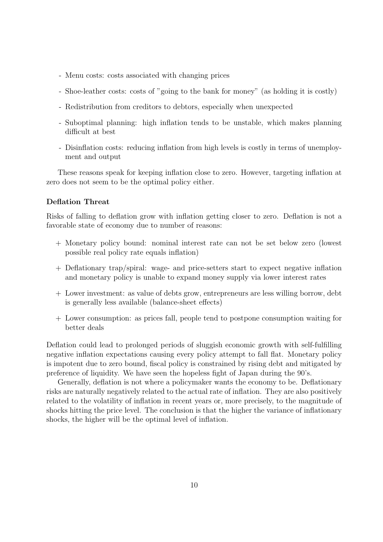- Menu costs: costs associated with changing prices
- Shoe-leather costs: costs of "going to the bank for money" (as holding it is costly)
- Redistribution from creditors to debtors, especially when unexpected
- Suboptimal planning: high inflation tends to be unstable, which makes planning difficult at best
- Disinflation costs: reducing inflation from high levels is costly in terms of unemployment and output

These reasons speak for keeping inflation close to zero. However, targeting inflation at zero does not seem to be the optimal policy either.

### Deflation Threat

Risks of falling to deflation grow with inflation getting closer to zero. Deflation is not a favorable state of economy due to number of reasons:

- + Monetary policy bound: nominal interest rate can not be set below zero (lowest possible real policy rate equals inflation)
- + Deflationary trap/spiral: wage- and price-setters start to expect negative inflation and monetary policy is unable to expand money supply via lower interest rates
- + Lower investment: as value of debts grow, entrepreneurs are less willing borrow, debt is generally less available (balance-sheet effects)
- + Lower consumption: as prices fall, people tend to postpone consumption waiting for better deals

Deflation could lead to prolonged periods of sluggish economic growth with self-fulfilling negative inflation expectations causing every policy attempt to fall flat. Monetary policy is impotent due to zero bound, fiscal policy is constrained by rising debt and mitigated by preference of liquidity. We have seen the hopeless fight of Japan during the 90's.

Generally, deflation is not where a policymaker wants the economy to be. Deflationary risks are naturally negatively related to the actual rate of inflation. They are also positively related to the volatility of inflation in recent years or, more precisely, to the magnitude of shocks hitting the price level. The conclusion is that the higher the variance of inflationary shocks, the higher will be the optimal level of inflation.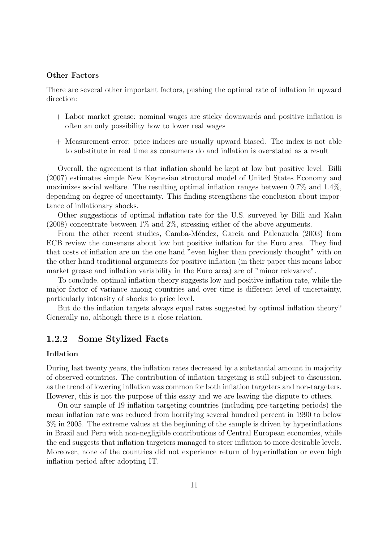#### Other Factors

There are several other important factors, pushing the optimal rate of inflation in upward direction:

- + Labor market grease: nominal wages are sticky downwards and positive inflation is often an only possibility how to lower real wages
- + Measurement error: price indices are usually upward biased. The index is not able to substitute in real time as consumers do and inflation is overstated as a result

Overall, the agreement is that inflation should be kept at low but positive level. Billi (2007) estimates simple New Keynesian structural model of United States Economy and maximizes social welfare. The resulting optimal inflation ranges between 0.7% and 1.4%, depending on degree of uncertainty. This finding strengthens the conclusion about importance of inflationary shocks.

Other suggestions of optimal inflation rate for the U.S. surveyed by Billi and Kahn (2008) concentrate between 1% and 2%, stressing either of the above arguments.

From the other recent studies, Camba-Méndez, García and Palenzuela (2003) from ECB review the consensus about low but positive inflation for the Euro area. They find that costs of inflation are on the one hand "even higher than previously thought" with on the other hand traditional arguments for positive inflation (in their paper this means labor market grease and inflation variability in the Euro area) are of "minor relevance".

To conclude, optimal inflation theory suggests low and positive inflation rate, while the major factor of variance among countries and over time is different level of uncertainty, particularly intensity of shocks to price level.

But do the inflation targets always equal rates suggested by optimal inflation theory? Generally no, although there is a close relation.

## 1.2.2 Some Stylized Facts

#### Inflation

During last twenty years, the inflation rates decreased by a substantial amount in majority of observed countries. The contribution of inflation targeting is still subject to discussion, as the trend of lowering inflation was common for both inflation targeters and non-targeters. However, this is not the purpose of this essay and we are leaving the dispute to others.

On our sample of 19 inflation targeting countries (including pre-targeting periods) the mean inflation rate was reduced from horrifying several hundred percent in 1990 to below 3% in 2005. The extreme values at the beginning of the sample is driven by hyperinflations in Brazil and Peru with non-negligible contributions of Central European economies, while the end suggests that inflation targeters managed to steer inflation to more desirable levels. Moreover, none of the countries did not experience return of hyperinflation or even high inflation period after adopting IT.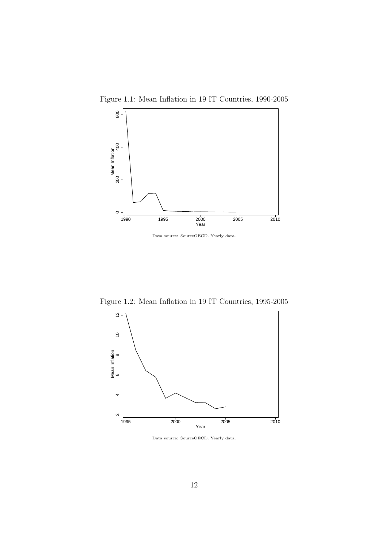Figure 1.1: Mean Inflation in 19 IT Countries, 1990-2005



Data source: SourceOECD. Yearly data.

Figure 1.2: Mean Inflation in 19 IT Countries, 1995-2005



Data source: SourceOECD. Yearly data.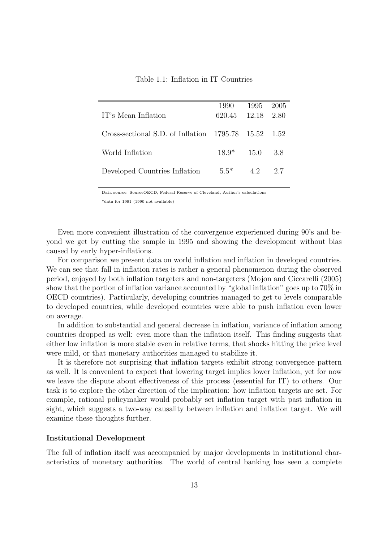| Table 1.1: Inflation in IT Countries |  |  |  |
|--------------------------------------|--|--|--|
|--------------------------------------|--|--|--|

|                                           | 1990              | 1995       | 2005 |
|-------------------------------------------|-------------------|------------|------|
| IT's Mean Inflation                       | 620.45 12.18 2.80 |            |      |
|                                           |                   |            |      |
| Cross-sectional S.D. of Inflation 1795.78 |                   | 15.52 1.52 |      |
|                                           |                   |            |      |
| World Inflation                           | $18.9*$           | 15.0       | 3.8  |
|                                           |                   |            |      |
| Developed Countries Inflation             | $5.5*$            | 42         | 2.7  |
|                                           |                   |            |      |

Data source: SourceOECD, Federal Reserve of Cleveland, Author's calculations

\*data for 1991 (1990 not available)

Even more convenient illustration of the convergence experienced during 90's and beyond we get by cutting the sample in 1995 and showing the development without bias caused by early hyper-inflations.

For comparison we present data on world inflation and inflation in developed countries. We can see that fall in inflation rates is rather a general phenomenon during the observed period, enjoyed by both inflation targeters and non-targeters (Mojon and Ciccarelli (2005) show that the portion of inflation variance accounted by "global inflation" goes up to 70% in OECD countries). Particularly, developing countries managed to get to levels comparable to developed countries, while developed countries were able to push inflation even lower on average.

In addition to substantial and general decrease in inflation, variance of inflation among countries dropped as well: even more than the inflation itself. This finding suggests that either low inflation is more stable even in relative terms, that shocks hitting the price level were mild, or that monetary authorities managed to stabilize it.

It is therefore not surprising that inflation targets exhibit strong convergence pattern as well. It is convenient to expect that lowering target implies lower inflation, yet for now we leave the dispute about effectiveness of this process (essential for IT) to others. Our task is to explore the other direction of the implication: how inflation targets are set. For example, rational policymaker would probably set inflation target with past inflation in sight, which suggests a two-way causality between inflation and inflation target. We will examine these thoughts further.

#### Institutional Development

The fall of inflation itself was accompanied by major developments in institutional characteristics of monetary authorities. The world of central banking has seen a complete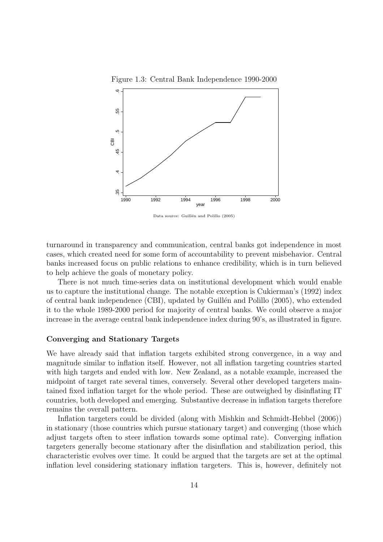

Figure 1.3: Central Bank Independence 1990-2000

Data source: Guillén and Polillo (2005)

turnaround in transparency and communication, central banks got independence in most cases, which created need for some form of accountability to prevent misbehavior. Central banks increased focus on public relations to enhance credibility, which is in turn believed to help achieve the goals of monetary policy.

There is not much time-series data on institutional development which would enable us to capture the institutional change. The notable exception is Cukierman's (1992) index of central bank independence (CBI), updated by Guillén and Polillo (2005), who extended it to the whole 1989-2000 period for majority of central banks. We could observe a major increase in the average central bank independence index during 90's, as illustrated in figure.

#### Converging and Stationary Targets

We have already said that inflation targets exhibited strong convergence, in a way and magnitude similar to inflation itself. However, not all inflation targeting countries started with high targets and ended with low. New Zealand, as a notable example, increased the midpoint of target rate several times, conversely. Several other developed targeters maintained fixed inflation target for the whole period. These are outweighed by disinflating IT countries, both developed and emerging. Substantive decrease in inflation targets therefore remains the overall pattern.

Inflation targeters could be divided (along with Mishkin and Schmidt-Hebbel (2006)) in stationary (those countries which pursue stationary target) and converging (those which adjust targets often to steer inflation towards some optimal rate). Converging inflation targeters generally become stationary after the disinflation and stabilization period, this characteristic evolves over time. It could be argued that the targets are set at the optimal inflation level considering stationary inflation targeters. This is, however, definitely not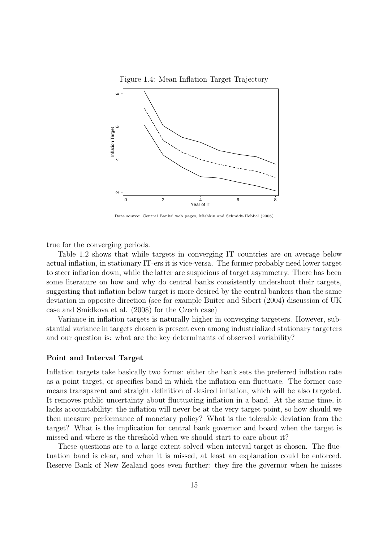Figure 1.4: Mean Inflation Target Trajectory



Data source: Central Banks' web pages, Mishkin and Schmidt-Hebbel (2006)

true for the converging periods.

Table 1.2 shows that while targets in converging IT countries are on average below actual inflation, in stationary IT-ers it is vice-versa. The former probably need lower target to steer inflation down, while the latter are suspicious of target asymmetry. There has been some literature on how and why do central banks consistently undershoot their targets, suggesting that inflation below target is more desired by the central bankers than the same deviation in opposite direction (see for example Buiter and Sibert (2004) discussion of UK case and Smidkova et al. (2008) for the Czech case)

Variance in inflation targets is naturally higher in converging targeters. However, substantial variance in targets chosen is present even among industrialized stationary targeters and our question is: what are the key determinants of observed variability?

#### Point and Interval Target

Inflation targets take basically two forms: either the bank sets the preferred inflation rate as a point target, or specifies band in which the inflation can fluctuate. The former case means transparent and straight definition of desired inflation, which will be also targeted. It removes public uncertainty about fluctuating inflation in a band. At the same time, it lacks accountability: the inflation will never be at the very target point, so how should we then measure performance of monetary policy? What is the tolerable deviation from the target? What is the implication for central bank governor and board when the target is missed and where is the threshold when we should start to care about it?

These questions are to a large extent solved when interval target is chosen. The fluctuation band is clear, and when it is missed, at least an explanation could be enforced. Reserve Bank of New Zealand goes even further: they fire the governor when he misses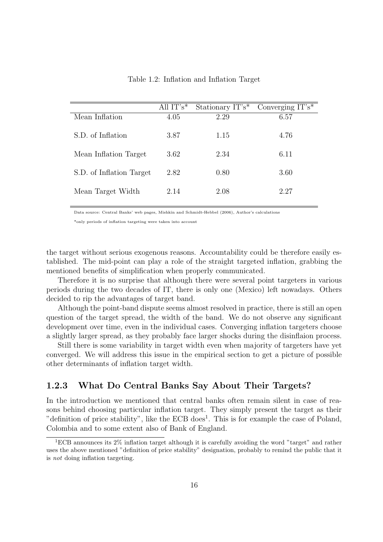|                          | All $IT's^*$ | Stationary $IT's^*$ | Converging $IT's^*$ |
|--------------------------|--------------|---------------------|---------------------|
| Mean Inflation           | 4.05         | 2.29                | 6.57                |
| S.D. of Inflation        | 3.87         | 1.15                | 4.76                |
| Mean Inflation Target    | 3.62         | 2.34                | 6.11                |
| S.D. of Inflation Target | 2.82         | 0.80                | 3.60                |
| Mean Target Width        | 2.14         | 2.08                | 2.27                |

Table 1.2: Inflation and Inflation Target

Data source: Central Banks' web pages, Mishkin and Schmidt-Hebbel (2006), Author's calculations

\*only periods of inflation targeting were taken into account

the target without serious exogenous reasons. Accountability could be therefore easily established. The mid-point can play a role of the straight targeted inflation, grabbing the mentioned benefits of simplification when properly communicated.

Therefore it is no surprise that although there were several point targeters in various periods during the two decades of IT, there is only one (Mexico) left nowadays. Others decided to rip the advantages of target band.

Although the point-band dispute seems almost resolved in practice, there is still an open question of the target spread, the width of the band. We do not observe any significant development over time, even in the individual cases. Converging inflation targeters choose a slightly larger spread, as they probably face larger shocks during the disinflaion process.

Still there is some variability in target width even when majority of targeters have yet converged. We will address this issue in the empirical section to get a picture of possible other determinants of inflation target width.

## 1.2.3 What Do Central Banks Say About Their Targets?

In the introduction we mentioned that central banks often remain silent in case of reasons behind choosing particular inflation target. They simply present the target as their "definition of price stability", like the ECB does<sup>1</sup>. This is for example the case of Poland, Colombia and to some extent also of Bank of England.

<sup>&</sup>lt;sup>1</sup>ECB announces its  $2\%$  inflation target although it is carefully avoiding the word "target" and rather uses the above mentioned "definition of price stability" designation, probably to remind the public that it is not doing inflation targeting.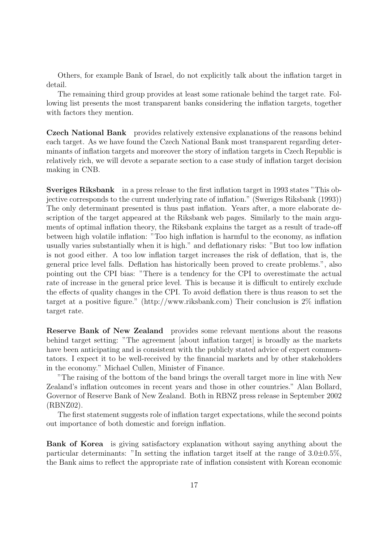Others, for example Bank of Israel, do not explicitly talk about the inflation target in detail.

The remaining third group provides at least some rationale behind the target rate. Following list presents the most transparent banks considering the inflation targets, together with factors they mention.

Czech National Bank provides relatively extensive explanations of the reasons behind each target. As we have found the Czech National Bank most transparent regarding determinants of inflation targets and moreover the story of inflation targets in Czech Republic is relatively rich, we will devote a separate section to a case study of inflation target decision making in CNB.

Sveriges Riksbank in a press release to the first inflation target in 1993 states "This objective corresponds to the current underlying rate of inflation." (Sweriges Riksbank (1993)) The only determinant presented is thus past inflation. Years after, a more elaborate description of the target appeared at the Riksbank web pages. Similarly to the main arguments of optimal inflation theory, the Riksbank explains the target as a result of trade-off between high volatile inflation: "Too high inflation is harmful to the economy, as inflation usually varies substantially when it is high." and deflationary risks: "But too low inflation is not good either. A too low inflation target increases the risk of deflation, that is, the general price level falls. Deflation has historically been proved to create problems.", also pointing out the CPI bias: "There is a tendency for the CPI to overestimate the actual rate of increase in the general price level. This is because it is difficult to entirely exclude the effects of quality changes in the CPI. To avoid deflation there is thus reason to set the target at a positive figure." (http://www.riksbank.com) Their conclusion is 2% inflation target rate.

Reserve Bank of New Zealand provides some relevant mentions about the reasons behind target setting: "The agreement [about inflation target] is broadly as the markets have been anticipating and is consistent with the publicly stated advice of expert commentators. I expect it to be well-received by the financial markets and by other stakeholders in the economy." Michael Cullen, Minister of Finance.

"The raising of the bottom of the band brings the overall target more in line with New Zealand's inflation outcomes in recent years and those in other countries." Alan Bollard, Governor of Reserve Bank of New Zealand. Both in RBNZ press release in September 2002 (RBNZ02).

The first statement suggests role of inflation target expectations, while the second points out importance of both domestic and foreign inflation.

Bank of Korea is giving satisfactory explanation without saying anything about the particular determinants: "In setting the inflation target itself at the range of  $3.0\pm0.5\%$ , the Bank aims to reflect the appropriate rate of inflation consistent with Korean economic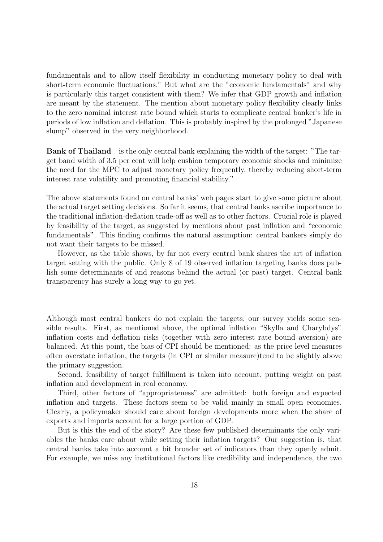fundamentals and to allow itself flexibility in conducting monetary policy to deal with short-term economic fluctuations." But what are the "economic fundamentals" and why is particularly this target consistent with them? We infer that GDP growth and inflation are meant by the statement. The mention about monetary policy flexibility clearly links to the zero nominal interest rate bound which starts to complicate central banker's life in periods of low inflation and deflation. This is probably inspired by the prolonged "Japanese slump" observed in the very neighborhood.

Bank of Thailand is the only central bank explaining the width of the target: "The target band width of 3.5 per cent will help cushion temporary economic shocks and minimize the need for the MPC to adjust monetary policy frequently, thereby reducing short-term interest rate volatility and promoting financial stability."

The above statements found on central banks' web pages start to give some picture about the actual target setting decisions. So far it seems, that central banks ascribe importance to the traditional inflation-deflation trade-off as well as to other factors. Crucial role is played by feasibility of the target, as suggested by mentions about past inflation and "economic fundamentals". This finding confirms the natural assumption: central bankers simply do not want their targets to be missed.

However, as the table shows, by far not every central bank shares the art of inflation target setting with the public. Only 8 of 19 observed inflation targeting banks does publish some determinants of and reasons behind the actual (or past) target. Central bank transparency has surely a long way to go yet.

Although most central bankers do not explain the targets, our survey yields some sensible results. First, as mentioned above, the optimal inflation "Skylla and Charybdys" inflation costs and deflation risks (together with zero interest rate bound aversion) are balanced. At this point, the bias of CPI should be mentioned: as the price level measures often overstate inflation, the targets (in CPI or similar measure)tend to be slightly above the primary suggestion.

Second, feasibility of target fulfillment is taken into account, putting weight on past inflation and development in real economy.

Third, other factors of "appropriateness" are admitted: both foreign and expected inflation and targets. These factors seem to be valid mainly in small open economies. Clearly, a policymaker should care about foreign developments more when the share of exports and imports account for a large portion of GDP.

But is this the end of the story? Are these few published determinants the only variables the banks care about while setting their inflation targets? Our suggestion is, that central banks take into account a bit broader set of indicators than they openly admit. For example, we miss any institutional factors like credibility and independence, the two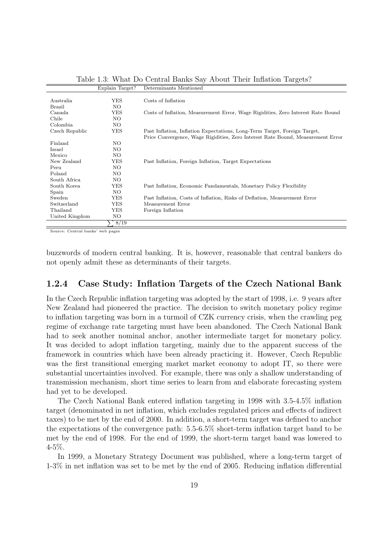|                | Explain Target? | Determinants Mentioned                                                           |
|----------------|-----------------|----------------------------------------------------------------------------------|
|                |                 |                                                                                  |
| Australia      | <b>YES</b>      | Costs of Inflation                                                               |
| Brazil         | NO.             |                                                                                  |
| Canada         | YES             | Costs of Inflation, Measurement Error, Wage Rigidities, Zero Interest Rate Bound |
| Chile          | NO.             |                                                                                  |
| Colombia       | NO.             |                                                                                  |
| Czech Republic | YES             | Past Inflation, Inflation Expectations, Long-Term Target, Foreign Target,        |
|                |                 | Price Convergence, Wage Rigidities, Zero Interest Rate Bound, Measurement Error  |
| Finland        | NO.             |                                                                                  |
| Israel         | NO.             |                                                                                  |
| Mexico         | NO.             |                                                                                  |
| New Zealand    | YES             | Past Inflation, Foreign Inflation, Target Expectations                           |
| Peru           | NO.             |                                                                                  |
| Poland         | NO.             |                                                                                  |
| South Africa   | NO.             |                                                                                  |
| South Korea    | YES             | Past Inflation, Economic Fundamentals, Monetary Policy Flexibility               |
| Spain          | NO.             |                                                                                  |
| Sweden         | <b>YES</b>      | Past Inflation, Costs of Inflation, Risks of Deflation, Measurement Error        |
| Switzerland    | <b>YES</b>      | Measurement Error                                                                |
| Thailand       | YES             | Foreign Inflation                                                                |
| United Kingdom | NO.             |                                                                                  |
|                | 8/19            |                                                                                  |

Table 1.3: What Do Central Banks Say About Their Inflation Targets?

Source: Central banks' web pages

buzzwords of modern central banking. It is, however, reasonable that central bankers do not openly admit these as determinants of their targets.

## 1.2.4 Case Study: Inflation Targets of the Czech National Bank

In the Czech Republic inflation targeting was adopted by the start of 1998, i.e. 9 years after New Zealand had pioneered the practice. The decision to switch monetary policy regime to inflation targeting was born in a turmoil of CZK currency crisis, when the crawling peg regime of exchange rate targeting must have been abandoned. The Czech National Bank had to seek another nominal anchor, another intermediate target for monetary policy. It was decided to adopt inflation targeting, mainly due to the apparent success of the framework in countries which have been already practicing it. However, Czech Republic was the first transitional emerging market market economy to adopt IT, so there were substantial uncertainties involved. For example, there was only a shallow understanding of transmission mechanism, short time series to learn from and elaborate forecasting system had yet to be developed.

The Czech National Bank entered inflation targeting in 1998 with 3.5-4.5% inflation target (denominated in net inflation, which excludes regulated prices and effects of indirect taxes) to be met by the end of 2000. In addition, a short-term target was defined to anchor the expectations of the convergence path: 5.5-6.5% short-term inflation target band to be met by the end of 1998. For the end of 1999, the short-term target band was lowered to  $4 - 5\%$ .

In 1999, a Monetary Strategy Document was published, where a long-term target of 1-3% in net inflation was set to be met by the end of 2005. Reducing inflation differential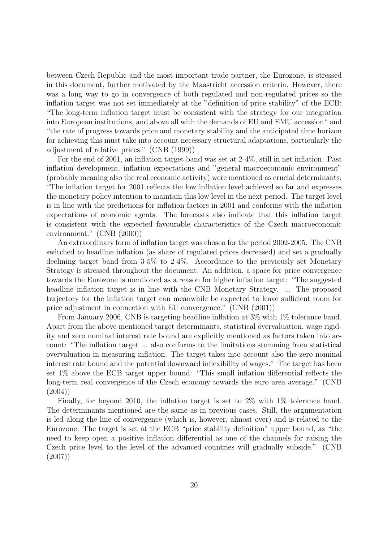between Czech Republic and the most important trade partner, the Eurozone, is stressed in this document, further motivated by the Maastricht accession criteria. However, there was a long way to go in convergence of both regulated and non-regulated prices so the inflation target was not set immediately at the "definition of price stability" of the ECB: "The long-term inflation target must be consistent with the strategy for our integration into European institutions, and above all with the demands of EU and EMU accession" and "the rate of progress towards price and monetary stability and the anticipated time horizon for achieving this must take into account necessary structural adaptations, particularly the adjustment of relative prices." (CNB (1999))

For the end of 2001, an inflation target band was set at 2-4%, still in net inflation. Past inflation development, inflation expectations and "general macroeconomic environment" (probably meaning also the real economic activity) were mentioned as crucial determinants: "The inflation target for 2001 reflects the low inflation level achieved so far and expresses the monetary policy intention to maintain this low level in the next period. The target level is in line with the predictions for inflation factors in 2001 and conforms with the inflation expectations of economic agents. The forecasts also indicate that this inflation target is consistent with the expected favourable characteristics of the Czech macroeconomic environment." (CNB (2000))

An extraordinary form of inflation target was chosen for the period 2002-2005. The CNB switched to headline inflation (as share of regulated prices decreased) and set a gradually declining target band from 3-5% to 2-4%. Accordance to the previously set Monetary Strategy is stressed throughout the document. An addition, a space for price convergence towards the Eurozone is mentioned as a reason for higher inflation target: "The suggested headline inflation target is in line with the CNB Monetary Strategy. ... The proposed trajectory for the inflation target can meanwhile be expected to leave sufficient room for price adjustment in connection with EU convergence." (CNB (2001))

From January 2006, CNB is targeting headline inflation at 3% with 1% tolerance band. Apart from the above mentioned target determinants, statistical overvaluation, wage rigidity and zero nominal interest rate bound are explicitly mentioned as factors taken into account: "The inflation target ... also conforms to the limitations stemming from statistical overvaluation in measuring inflation. The target takes into account also the zero nominal interest rate bound and the potential downward inflexibility of wages." The target has been set 1% above the ECB target upper bound: "This small inflation differential reflects the long-term real convergence of the Czech economy towards the euro area average." (CNB  $(2004)$ 

Finally, for beyond 2010, the inflation target is set to 2% with 1% tolerance band. The determinants mentioned are the same as in previous cases. Still, the argumentation is led along the line of convergence (which is, however, almost over) and is related to the Eurozone. The target is set at the ECB "price stability definition" upper bound, as "the need to keep open a positive inflation differential as one of the channels for raising the Czech price level to the level of the advanced countries will gradually subside." (CNB (2007))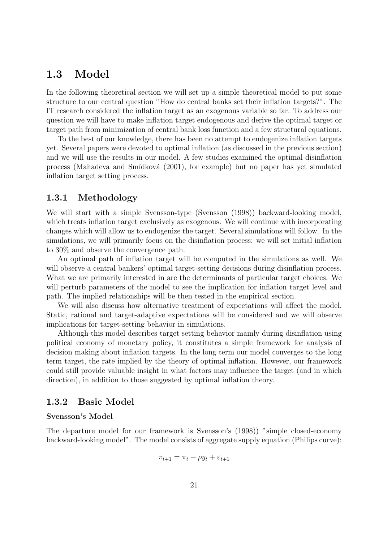## 1.3 Model

In the following theoretical section we will set up a simple theoretical model to put some structure to our central question "How do central banks set their inflation targets?". The IT research considered the inflation target as an exogenous variable so far. To address our question we will have to make inflation target endogenous and derive the optimal target or target path from minimization of central bank loss function and a few structural equations.

To the best of our knowledge, there has been no attempt to endogenize inflation targets yet. Several papers were devoted to optimal inflation (as discussed in the previous section) and we will use the results in our model. A few studies examined the optimal disinflation process (Mahadeva and Smídková (2001), for example) but no paper has yet simulated inflation target setting process.

## 1.3.1 Methodology

We will start with a simple Svensson-type (Svensson (1998)) backward-looking model, which treats inflation target exclusively as exogenous. We will continue with incorporating changes which will allow us to endogenize the target. Several simulations will follow. In the simulations, we will primarily focus on the disinflation process: we will set initial inflation to 30% and observe the convergence path.

An optimal path of inflation target will be computed in the simulations as well. We will observe a central bankers' optimal target-setting decisions during disinflation process. What we are primarily interested in are the determinants of particular target choices. We will perturb parameters of the model to see the implication for inflation target level and path. The implied relationships will be then tested in the empirical section.

We will also discuss how alternative treatment of expectations will affect the model. Static, rational and target-adaptive expectations will be considered and we will observe implications for target-setting behavior in simulations.

Although this model describes target setting behavior mainly during disinflation using political economy of monetary policy, it constitutes a simple framework for analysis of decision making about inflation targets. In the long term our model converges to the long term target, the rate implied by the theory of optimal inflation. However, our framework could still provide valuable insight in what factors may influence the target (and in which direction), in addition to those suggested by optimal inflation theory.

## 1.3.2 Basic Model

#### Svensson's Model

The departure model for our framework is Svensson's (1998)) "simple closed-economy backward-looking model". The model consists of aggregate supply equation (Philips curve):

$$
\pi_{t+1} = \pi_t + \rho y_t + \varepsilon_{t+1}
$$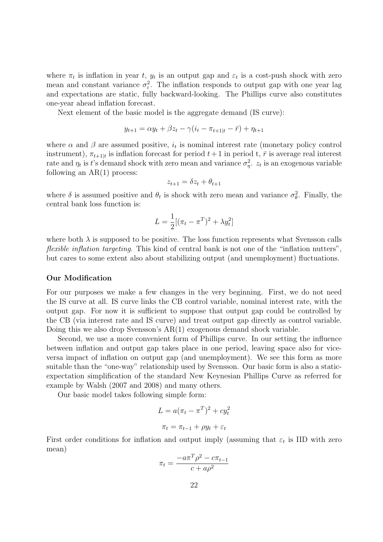where  $\pi_t$  is inflation in year t,  $y_t$  is an output gap and  $\varepsilon_t$  is a cost-push shock with zero mean and constant variance  $\sigma_{\varepsilon}^2$ . The inflation responds to output gap with one year lag and expectations are static, fully backward-looking. The Phillips curve also constitutes one-year ahead inflation forecast.

Next element of the basic model is the aggregate demand (IS curve):

$$
y_{t+1} = \alpha y_t + \beta z_t - \gamma (i_t - \pi_{t+1|t} - \bar{r}) + \eta_{t+1}
$$

where  $\alpha$  and  $\beta$  are assumed positive,  $i_t$  is nominal interest rate (monetary policy control instrument),  $\pi_{t+1|t}$  is inflation forecast for period  $t+1$  in period t,  $\bar{r}$  is average real interest rate and  $\eta_t$  is t's demand shock with zero mean and variance  $\sigma_{\eta}^2$ .  $z_t$  is an exogenous variable following an  $AR(1)$  process:

$$
z_{t+1} = \delta z_t + \theta_{t+1}
$$

where  $\delta$  is assumed positive and  $\theta_t$  is shock with zero mean and variance  $\sigma_{\theta}^2$ . Finally, the central bank loss function is:

$$
L = \frac{1}{2} [(\pi_t - \pi^T)^2 + \lambda y_t^2]
$$

where both  $\lambda$  is supposed to be positive. The loss function represents what Svensson calls flexible inflation targeting. This kind of central bank is not one of the "inflation nutters", but cares to some extent also about stabilizing output (and unemployment) fluctuations.

#### Our Modification

For our purposes we make a few changes in the very beginning. First, we do not need the IS curve at all. IS curve links the CB control variable, nominal interest rate, with the output gap. For now it is sufficient to suppose that output gap could be controlled by the CB (via interest rate and IS curve) and treat output gap directly as control variable. Doing this we also drop Svensson's AR(1) exogenous demand shock variable.

Second, we use a more convenient form of Phillips curve. In our setting the influence between inflation and output gap takes place in one period, leaving space also for viceversa impact of inflation on output gap (and unemployment). We see this form as more suitable than the "one-way" relationship used by Svensson. Our basic form is also a staticexpectation simplification of the standard New Keynesian Phillips Curve as referred for example by Walsh (2007 and 2008) and many others.

Our basic model takes following simple form:

$$
L = a(\pi_t - \pi^T)^2 + cy_t^2
$$

$$
\pi_t = \pi_{t-1} + \rho y_t + \varepsilon_t
$$

First order conditions for inflation and output imply (assuming that  $\varepsilon_t$  is IID with zero mean)

$$
\pi_t = \frac{-a\pi^T \rho^2 - c\pi_{t-1}}{c + a\rho^2}
$$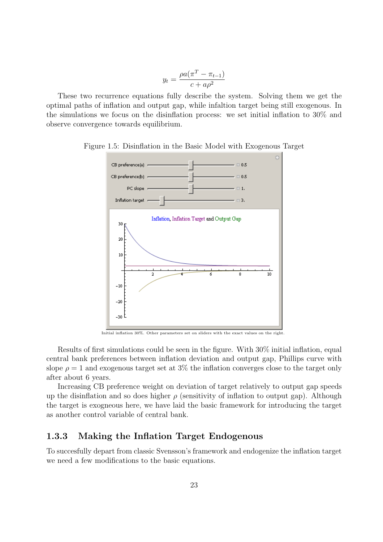$$
y_t = \frac{\rho a(\pi^T - \pi_{t-1})}{c + a\rho^2}
$$

These two recurrence equations fully describe the system. Solving them we get the optimal paths of inflation and output gap, while infaltion target being still exogenous. In the simulations we focus on the disinflation process: we set initial inflation to 30% and observe convergence towards equilibrium.



Figure 1.5: Disinflation in the Basic Model with Exogenous Target

Initial inflation 30%. Other parameters set on sliders with the exact values on the right.

Results of first simulations could be seen in the figure. With 30% initial inflation, equal central bank preferences between inflation deviation and output gap, Phillips curve with slope  $\rho = 1$  and exogenous target set at 3% the inflation converges close to the target only after about 6 years.

Increasing CB preference weight on deviation of target relatively to output gap speeds up the disinflation and so does higher  $\rho$  (sensitivity of inflation to output gap). Although the target is exogneous here, we have laid the basic framework for introducing the target as another control variable of central bank.

## 1.3.3 Making the Inflation Target Endogenous

To succesfully depart from classic Svensson's framework and endogenize the inflation target we need a few modifications to the basic equations.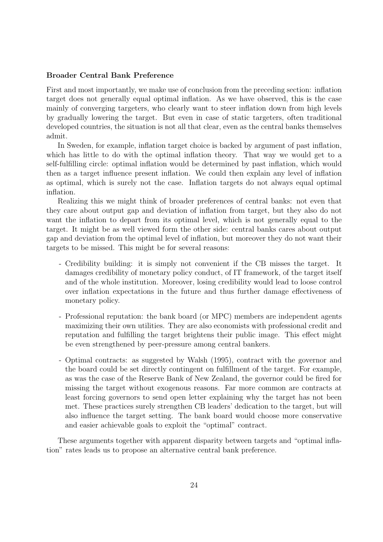#### Broader Central Bank Preference

First and most importantly, we make use of conclusion from the preceding section: inflation target does not generally equal optimal inflation. As we have observed, this is the case mainly of converging targeters, who clearly want to steer inflation down from high levels by gradually lowering the target. But even in case of static targeters, often traditional developed countries, the situation is not all that clear, even as the central banks themselves admit.

In Sweden, for example, inflation target choice is backed by argument of past inflation, which has little to do with the optimal inflation theory. That way we would get to a self-fulfilling circle: optimal inflation would be determined by past inflation, which would then as a target influence present inflation. We could then explain any level of inflation as optimal, which is surely not the case. Inflation targets do not always equal optimal inflation.

Realizing this we might think of broader preferences of central banks: not even that they care about output gap and deviation of inflation from target, but they also do not want the inflation to depart from its optimal level, which is not generally equal to the target. It might be as well viewed form the other side: central banks cares about output gap and deviation from the optimal level of inflation, but moreover they do not want their targets to be missed. This might be for several reasons:

- Credibility building: it is simply not convenient if the CB misses the target. It damages credibility of monetary policy conduct, of IT framework, of the target itself and of the whole institution. Moreover, losing credibility would lead to loose control over inflation expectations in the future and thus further damage effectiveness of monetary policy.
- Professional reputation: the bank board (or MPC) members are independent agents maximizing their own utilities. They are also economists with professional credit and reputation and fulfilling the target brightens their public image. This effect might be even strengthened by peer-pressure among central bankers.
- Optimal contracts: as suggested by Walsh (1995), contract with the governor and the board could be set directly contingent on fulfillment of the target. For example, as was the case of the Reserve Bank of New Zealand, the governor could be fired for missing the target without exogenous reasons. Far more common are contracts at least forcing governors to send open letter explaining why the target has not been met. These practices surely strengthen CB leaders' dedication to the target, but will also influence the target setting. The bank board would choose more conservative and easier achievable goals to exploit the "optimal" contract.

These arguments together with apparent disparity between targets and "optimal inflation" rates leads us to propose an alternative central bank preference.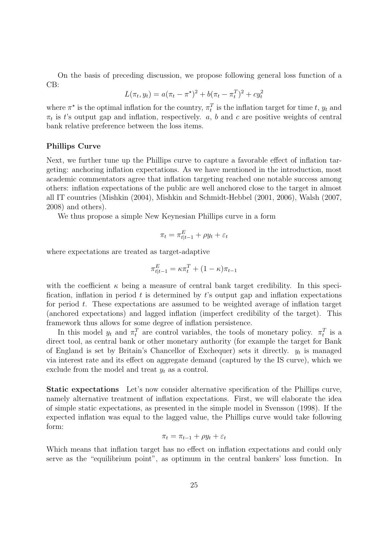On the basis of preceding discussion, we propose following general loss function of a CB:

$$
L(\pi_t, y_t) = a(\pi_t - \pi^*)^2 + b(\pi_t - \pi_t^T)^2 + cy_t^2
$$

where  $\pi^*$  is the optimal inflation for the country,  $\pi_t^T$  is the inflation target for time t,  $y_t$  and  $\pi_t$  is t's output gap and inflation, respectively. a, b and c are positive weights of central bank relative preference between the loss items.

#### Phillips Curve

Next, we further tune up the Phillips curve to capture a favorable effect of inflation targeting: anchoring inflation expectations. As we have mentioned in the introduction, most academic commentators agree that inflation targeting reached one notable success among others: inflation expectations of the public are well anchored close to the target in almost all IT countries (Mishkin (2004), Mishkin and Schmidt-Hebbel (2001, 2006), Walsh (2007, 2008) and others).

We thus propose a simple New Keynesian Phillips curve in a form

$$
\pi_t = \pi_{t|t-1}^E + \rho y_t + \varepsilon_t
$$

where expectations are treated as target-adaptive

$$
\pi_{t|t-1}^E = \kappa \pi_t^T + (1 - \kappa)\pi_{t-1}
$$

with the coefficient  $\kappa$  being a measure of central bank target credibility. In this specification, inflation in period  $t$  is determined by  $t$ 's output gap and inflation expectations for period  $t$ . These expectations are assumed to be weighted average of inflation target (anchored expectations) and lagged inflation (imperfect credibility of the target). This framework thus allows for some degree of inflation persistence.

In this model  $y_t$  and  $\pi_t^T$  are control variables, the tools of monetary policy.  $\pi_t^T$  is a direct tool, as central bank or other monetary authority (for example the target for Bank of England is set by Britain's Chancellor of Exchequer) sets it directly.  $y_t$  is managed via interest rate and its effect on aggregate demand (captured by the IS curve), which we exclude from the model and treat  $y_t$  as a control.

Static expectations Let's now consider alternative specification of the Phillips curve, namely alternative treatment of inflation expectations. First, we will elaborate the idea of simple static expectations, as presented in the simple model in Svensson (1998). If the expected inflation was equal to the lagged value, the Phillips curve would take following form:

$$
\pi_t = \pi_{t-1} + \rho y_t + \varepsilon_t
$$

Which means that inflation target has no effect on inflation expectations and could only serve as the "equilibrium point", as optimum in the central bankers' loss function. In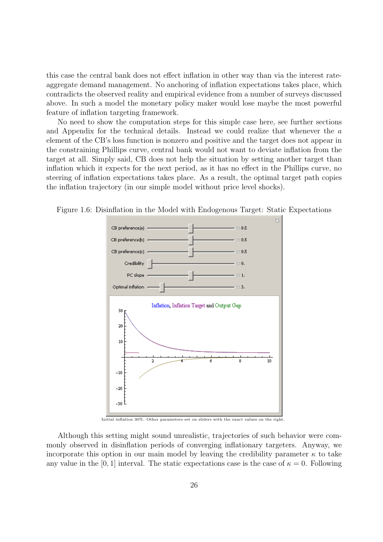this case the central bank does not effect inflation in other way than via the interest rateaggregate demand management. No anchoring of inflation expectations takes place, which contradicts the observed reality and empirical evidence from a number of surveys discussed above. In such a model the monetary policy maker would lose maybe the most powerful feature of inflation targeting framework.

No need to show the computation steps for this simple case here, see further sections and Appendix for the technical details. Instead we could realize that whenever the a element of the CB's loss function is nonzero and positive and the target does not appear in the constraining Phillips curve, central bank would not want to deviate inflation from the target at all. Simply said, CB does not help the situation by setting another target than inflation which it expects for the next period, as it has no effect in the Phillips curve, no steering of inflation expectations takes place. As a result, the optimal target path copies the inflation trajectory (in our simple model without price level shocks).



Figure 1.6: Disinflation in the Model with Endogenous Target: Static Expectations

Initial inflation 30%. Other parameters set on sliders with the exact values on the right.

Although this setting might sound unrealistic, trajectories of such behavior were commonly observed in disinflation periods of converging inflationary targeters. Anyway, we incorporate this option in our main model by leaving the credibility parameter  $\kappa$  to take any value in the [0, 1] interval. The static expectations case is the case of  $\kappa = 0$ . Following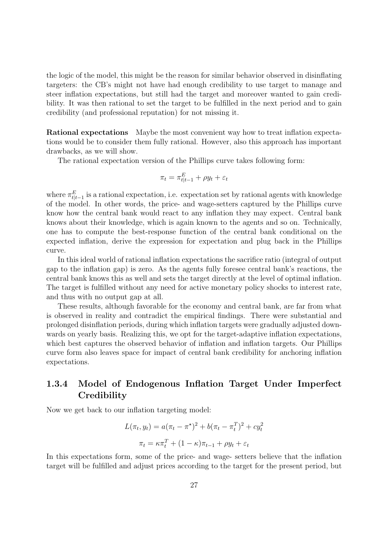the logic of the model, this might be the reason for similar behavior observed in disinflating targeters: the CB's might not have had enough credibility to use target to manage and steer inflation expectations, but still had the target and moreover wanted to gain credibility. It was then rational to set the target to be fulfilled in the next period and to gain credibility (and professional reputation) for not missing it.

Rational expectations Maybe the most convenient way how to treat inflation expectations would be to consider them fully rational. However, also this approach has important drawbacks, as we will show.

The rational expectation version of the Phillips curve takes following form:

$$
\pi_t = \pi_{t|t-1}^E + \rho y_t + \varepsilon_t
$$

where  $\pi_{t|t-1}^E$  is a rational expectation, i.e. expectation set by rational agents with knowledge of the model. In other words, the price- and wage-setters captured by the Phillips curve know how the central bank would react to any inflation they may expect. Central bank knows about their knowledge, which is again known to the agents and so on. Technically, one has to compute the best-response function of the central bank conditional on the expected inflation, derive the expression for expectation and plug back in the Phillips curve.

In this ideal world of rational inflation expectations the sacrifice ratio (integral of output gap to the inflation gap) is zero. As the agents fully foresee central bank's reactions, the central bank knows this as well and sets the target directly at the level of optimal inflation. The target is fulfilled without any need for active monetary policy shocks to interest rate, and thus with no output gap at all.

These results, although favorable for the economy and central bank, are far from what is observed in reality and contradict the empirical findings. There were substantial and prolonged disinflation periods, during which inflation targets were gradually adjusted downwards on yearly basis. Realizing this, we opt for the target-adaptive inflation expectations, which best captures the observed behavior of inflation and inflation targets. Our Phillips curve form also leaves space for impact of central bank credibility for anchoring inflation expectations.

## 1.3.4 Model of Endogenous Inflation Target Under Imperfect **Credibility**

Now we get back to our inflation targeting model:

$$
L(\pi_t, y_t) = a(\pi_t - \pi^*)^2 + b(\pi_t - \pi_t^T)^2 + cy_t^2
$$

$$
\pi_t = \kappa \pi_t^T + (1 - \kappa)\pi_{t-1} + \rho y_t + \varepsilon_t
$$

In this expectations form, some of the price- and wage- setters believe that the inflation target will be fulfilled and adjust prices according to the target for the present period, but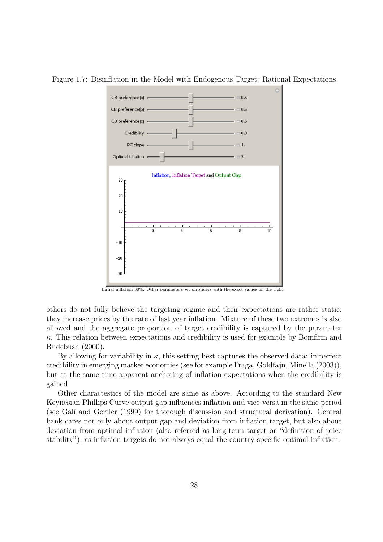

Figure 1.7: Disinflation in the Model with Endogenous Target: Rational Expectations

Initial inflation 30%. Other parameters set on sliders with the exact values on the right.

others do not fully believe the targeting regime and their expectations are rather static: they increase prices by the rate of last year inflation. Mixture of these two extremes is also allowed and the aggregate proportion of target credibility is captured by the parameter  $\kappa$ . This relation between expectations and credibility is used for example by Bomfirm and Rudebush (2000).

By allowing for variability in  $\kappa$ , this setting best captures the observed data: imperfect credibility in emerging market economies (see for example Fraga, Goldfajn, Minella (2003)), but at the same time apparent anchoring of inflation expectations when the credibility is gained.

Other charactestics of the model are same as above. According to the standard New Keynesian Phillips Curve output gap influences inflation and vice-versa in the same period (see Gal´ı and Gertler (1999) for thorough discussion and structural derivation). Central bank cares not only about output gap and deviation from inflation target, but also about deviation from optimal inflation (also referred as long-term target or "definition of price stability"), as inflation targets do not always equal the country-specific optimal inflation.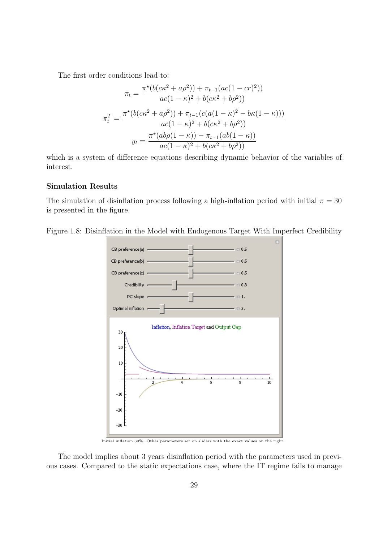The first order conditions lead to:

$$
\pi_t = \frac{\pi^*(b(c\kappa^2 + a\rho^2)) + \pi_{t-1}(ac(1 - cr)^2))}{ac(1 - \kappa)^2 + b(c\kappa^2 + b\rho^2))}
$$

$$
\pi_t^T = \frac{\pi^*(b(c\kappa^2 + a\rho^2)) + \pi_{t-1}(c(a(1 - \kappa)^2 - b\kappa(1 - \kappa)))}{ac(1 - \kappa)^2 + b(c\kappa^2 + b\rho^2))}
$$

$$
y_t = \frac{\pi^*(ab\rho(1 - \kappa)) - \pi_{t-1}(ab(1 - \kappa))}{ac(1 - \kappa)^2 + b(c\kappa^2 + b\rho^2))}
$$

which is a system of difference equations describing dynamic behavior of the variables of interest.

### Simulation Results

The simulation of disinflation process following a high-inflation period with initial  $\pi = 30$ is presented in the figure.





Initial inflation 30%. Other parameters set on sliders with the exact values on the right.

The model implies about 3 years disinflation period with the parameters used in previous cases. Compared to the static expectations case, where the IT regime fails to manage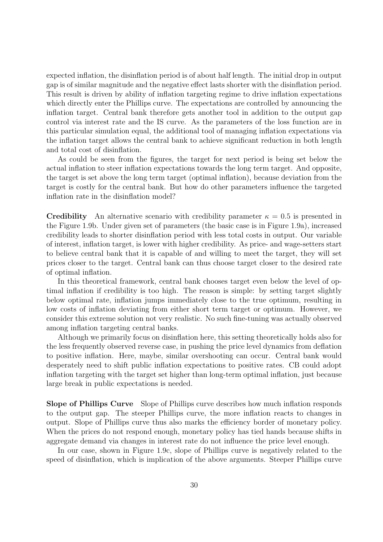expected inflation, the disinflation period is of about half length. The initial drop in output gap is of similar magnitude and the negative effect lasts shorter with the disinflation period. This result is driven by ability of inflation targeting regime to drive inflation expectations which directly enter the Phillips curve. The expectations are controlled by announcing the inflation target. Central bank therefore gets another tool in addition to the output gap control via interest rate and the IS curve. As the parameters of the loss function are in this particular simulation equal, the additional tool of managing inflation expectations via the inflation target allows the central bank to achieve significant reduction in both length and total cost of disinflation.

As could be seen from the figures, the target for next period is being set below the actual inflation to steer inflation expectations towards the long term target. And opposite, the target is set above the long term target (optimal inflation), because deviation from the target is costly for the central bank. But how do other parameters influence the targeted inflation rate in the disinflation model?

**Credibility** An alternative scenario with credibility parameter  $\kappa = 0.5$  is presented in the Figure 1.9b. Under given set of parameters (the basic case is in Figure 1.9a), increased credibility leads to shorter disinflation period with less total costs in output. Our variable of interest, inflation target, is lower with higher credibility. As price- and wage-setters start to believe central bank that it is capable of and willing to meet the target, they will set prices closer to the target. Central bank can thus choose target closer to the desired rate of optimal inflation.

In this theoretical framework, central bank chooses target even below the level of optimal inflation if credibility is too high. The reason is simple: by setting target slightly below optimal rate, inflation jumps immediately close to the true optimum, resulting in low costs of inflation deviating from either short term target or optimum. However, we consider this extreme solution not very realistic. No such fine-tuning was actually observed among inflation targeting central banks.

Although we primarily focus on disinflation here, this setting theoretically holds also for the less frequently observed reverse case, in pushing the price level dynamics from deflation to positive inflation. Here, maybe, similar overshooting can occur. Central bank would desperately need to shift public inflation expectations to positive rates. CB could adopt inflation targeting with the target set higher than long-term optimal inflation, just because large break in public expectations is needed.

Slope of Phillips Curve Slope of Phillips curve describes how much inflation responds to the output gap. The steeper Phillips curve, the more inflation reacts to changes in output. Slope of Phillips curve thus also marks the efficiency border of monetary policy. When the prices do not respond enough, monetary policy has tied hands because shifts in aggregate demand via changes in interest rate do not influence the price level enough.

In our case, shown in Figure 1.9c, slope of Phillips curve is negatively related to the speed of disinflation, which is implication of the above arguments. Steeper Phillips curve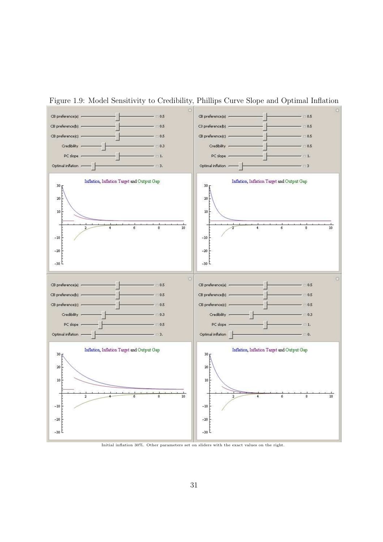

Figure 1.9: Model Sensitivity to Credibility, Phillips Curve Slope and Optimal Inflation

Initial inflation 30%. Other parameters set on sliders with the exact values on the right.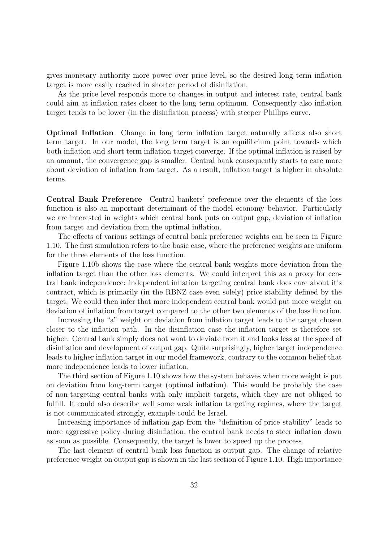gives monetary authority more power over price level, so the desired long term inflation target is more easily reached in shorter period of disinflation.

As the price level responds more to changes in output and interest rate, central bank could aim at inflation rates closer to the long term optimum. Consequently also inflation target tends to be lower (in the disinflation process) with steeper Phillips curve.

Optimal Inflation Change in long term inflation target naturally affects also short term target. In our model, the long term target is an equilibrium point towards which both inflation and short term inflation target converge. If the optimal inflation is raised by an amount, the convergence gap is smaller. Central bank consequently starts to care more about deviation of inflation from target. As a result, inflation target is higher in absolute terms.

Central Bank Preference Central bankers' preference over the elements of the loss function is also an important determinant of the model economy behavior. Particularly we are interested in weights which central bank puts on output gap, deviation of inflation from target and deviation from the optimal inflation.

The effects of various settings of central bank preference weights can be seen in Figure 1.10. The first simulation refers to the basic case, where the preference weights are uniform for the three elements of the loss function.

Figure 1.10b shows the case where the central bank weights more deviation from the inflation target than the other loss elements. We could interpret this as a proxy for central bank independence: independent inflation targeting central bank does care about it's contract, which is primarily (in the RBNZ case even solely) price stability defined by the target. We could then infer that more independent central bank would put more weight on deviation of inflation from target compared to the other two elements of the loss function.

Increasing the "a" weight on deviation from inflation target leads to the target chosen closer to the inflation path. In the disinflation case the inflation target is therefore set higher. Central bank simply does not want to deviate from it and looks less at the speed of disinflation and development of output gap. Quite surprisingly, higher target independence leads to higher inflation target in our model framework, contrary to the common belief that more independence leads to lower inflation.

The third section of Figure 1.10 shows how the system behaves when more weight is put on deviation from long-term target (optimal inflation). This would be probably the case of non-targeting central banks with only implicit targets, which they are not obliged to fulfill. It could also describe well some weak inflation targeting regimes, where the target is not communicated strongly, example could be Israel.

Increasing importance of inflation gap from the "definition of price stability" leads to more aggressive policy during disinflation, the central bank needs to steer inflation down as soon as possible. Consequently, the target is lower to speed up the process.

The last element of central bank loss function is output gap. The change of relative preference weight on output gap is shown in the last section of Figure 1.10. High importance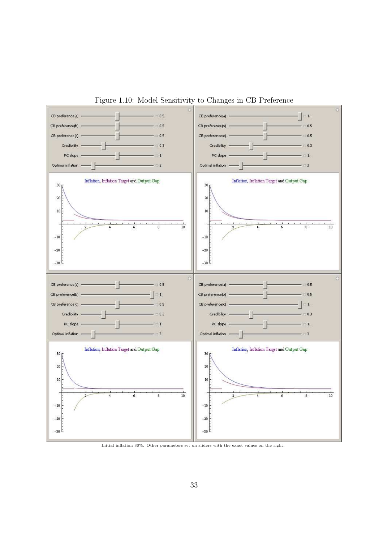

Figure 1.10: Model Sensitivity to Changes in CB Preference

Initial inflation 30%. Other parameters set on sliders with the exact values on the right.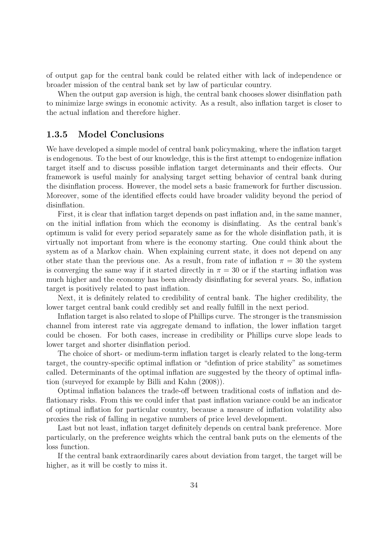of output gap for the central bank could be related either with lack of independence or broader mission of the central bank set by law of particular country.

When the output gap aversion is high, the central bank chooses slower disinflation path to minimize large swings in economic activity. As a result, also inflation target is closer to the actual inflation and therefore higher.

## 1.3.5 Model Conclusions

We have developed a simple model of central bank policymaking, where the inflation target is endogenous. To the best of our knowledge, this is the first attempt to endogenize inflation target itself and to discuss possible inflation target determinants and their effects. Our framework is useful mainly for analysing target setting behavior of central bank during the disinflation process. However, the model sets a basic framework for further discussion. Moreover, some of the identified effects could have broader validity beyond the period of disinflation.

First, it is clear that inflation target depends on past inflation and, in the same manner, on the initial inflation from which the economy is disinflating. As the central bank's optimum is valid for every period separately same as for the whole disinflation path, it is virtually not important from where is the economy starting. One could think about the system as of a Markov chain. When explaining current state, it does not depend on any other state than the previous one. As a result, from rate of inflation  $\pi = 30$  the system is converging the same way if it started directly in  $\pi = 30$  or if the starting inflation was much higher and the economy has been already disinflating for several years. So, inflation target is positively related to past inflation.

Next, it is definitely related to credibility of central bank. The higher credibility, the lower target central bank could credibly set and really fulfill in the next period.

Inflation target is also related to slope of Phillips curve. The stronger is the transmission channel from interest rate via aggregate demand to inflation, the lower inflation target could be chosen. For both cases, increase in credibility or Phillips curve slope leads to lower target and shorter disinflation period.

The choice of short- or medium-term inflation target is clearly related to the long-term target, the country-specific optimal inflation or "defintion of price stability" as sometimes called. Determinants of the optimal inflation are suggested by the theory of optimal inflation (surveyed for example by Billi and Kahn (2008)).

Optimal inflation balances the trade-off between traditional costs of inflation and deflationary risks. From this we could infer that past inflation variance could be an indicator of optimal inflation for particular country, because a measure of inflation volatility also proxies the risk of falling in negative numbers of price level development.

Last but not least, inflation target definitely depends on central bank preference. More particularly, on the preference weights which the central bank puts on the elements of the loss function.

If the central bank extraordinarily cares about deviation from target, the target will be higher, as it will be costly to miss it.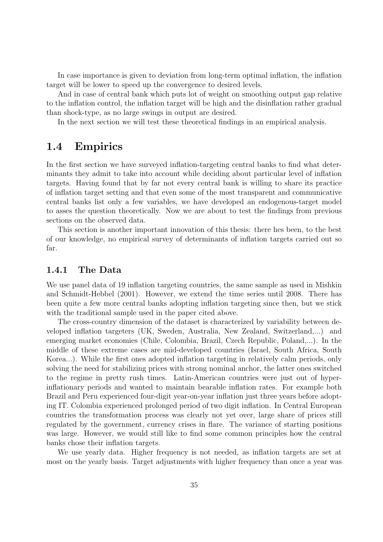In case importance is given to deviation from long-term optimal inflation, the inflation target will be lower to speed up the convergence to desired levels.

And in case of central bank which puts lot of weight on smoothing output gap relative to the inflation control, the inflation target will be high and the disinflation rather gradual than shock-type, as no large swings in output are desired.

In the next section we will test these theoretical findings in an empirical analysis.

## 1.4 Empirics

In the first section we have surveyed inflation-targeting central banks to find what determinants they admit to take into account while deciding about particular level of inflation targets. Having found that by far not every central bank is willing to share its practice of inflation target setting and that even some of the most transparent and communicative central banks list only a few variables, we have developed an endogenous-target model to asses the question theoretically. Now we are about to test the findings from previous sections on the observed data.

This section is another important innovation of this thesis: there hes been, to the best of our knowledge, no empirical survey of determinants of inflation targets carried out so far.

### 1.4.1 The Data

We use panel data of 19 inflation targeting countries, the same sample as used in Mishkin and Schmidt-Hebbel (2001). However, we extend the time series until 2008. There has been quite a few more central banks adopting inflation targeting since then, but we stick with the traditional sample used in the paper cited above.

The cross-country dimension of the dataset is characterized by variability between developed inflation targeters (UK, Sweden, Australia, New Zealand, Switzerland,...) and emerging market economies (Chile, Colombia, Brazil, Czech Republic, Poland,...). In the middle of these extreme cases are mid-developed countries (Israel, South Africa, South Korea...). While the first ones adopted inflation targeting in relatively calm periods, only solving the need for stabilizing prices with strong nominal anchor, the latter ones switched to the regime in pretty rush times. Latin-American countries were just out of hyperinflationary periods and wanted to maintain bearable inflation rates. For example both Brazil and Peru experienced four-digit year-on-year inflation just three years before adopting IT. Colombia experienced prolonged period of two digit inflation. In Central European countries the transformation process was clearly not yet over, large share of prices still regulated by the government, currency crises in flare. The variance of starting positions was large. However, we would still like to find some common principles how the central banks chose their inflation targets.

We use yearly data. Higher frequency is not needed, as inflation targets are set at most on the yearly basis. Target adjustments with higher frequency than once a year was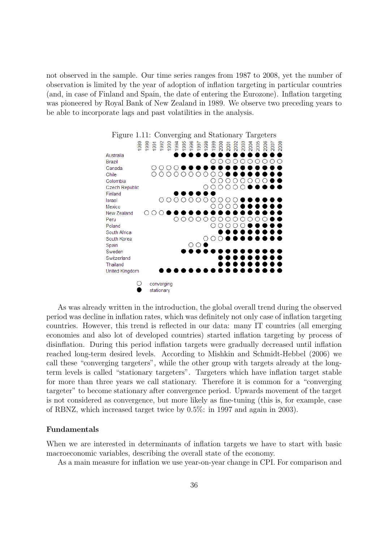not observed in the sample. Our time series ranges from 1987 to 2008, yet the number of observation is limited by the year of adoption of inflation targeting in particular countries (and, in case of Finland and Spain, the date of entering the Eurozone). Inflation targeting was pioneered by Royal Bank of New Zealand in 1989. We observe two preceding years to be able to incorporate lags and past volatilities in the analysis.



As was already written in the introduction, the global overall trend during the observed period was decline in inflation rates, which was definitely not only case of inflation targeting countries. However, this trend is reflected in our data: many IT countries (all emerging economies and also lot of developed countries) started inflation targeting by process of disinflation. During this period inflation targets were gradually decreased until inflation reached long-term desired levels. According to Mishkin and Schmidt-Hebbel (2006) we call these "converging targeters", while the other group with targets already at the longterm levels is called "stationary targeters". Targeters which have inflation target stable for more than three years we call stationary. Therefore it is common for a "converging targeter" to become stationary after convergence period. Upwards movement of the target is not considered as convergence, but more likely as fine-tuning (this is, for example, case of RBNZ, which increased target twice by 0.5%: in 1997 and again in 2003).

#### Fundamentals

When we are interested in determinants of inflation targets we have to start with basic macroeconomic variables, describing the overall state of the economy.

As a main measure for inflation we use year-on-year change in CPI. For comparison and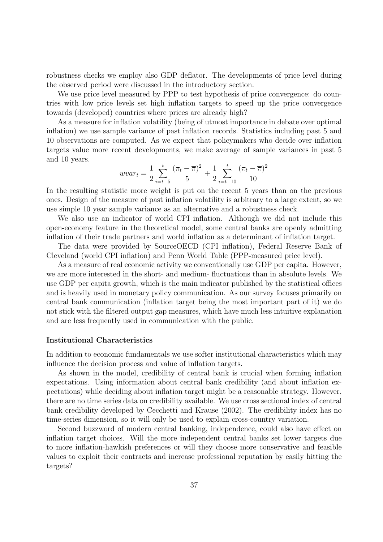robustness checks we employ also GDP deflator. The developments of price level during the observed period were discussed in the introductory section.

We use price level measured by PPP to test hypothesis of price convergence: do countries with low price levels set high inflation targets to speed up the price convergence towards (developed) countries where prices are already high?

As a measure for inflation volatility (being of utmost importance in debate over optimal inflation) we use sample variance of past inflation records. Statistics including past 5 and 10 observations are computed. As we expect that policymakers who decide over inflation targets value more recent developments, we make average of sample variances in past 5 and 10 years.

$$
wvar_t = \frac{1}{2} \sum_{i=t-5}^{t} \frac{(\pi_t - \overline{\pi})^2}{5} + \frac{1}{2} \sum_{i=t-10}^{t} \frac{(\pi_t - \overline{\pi})^2}{10}
$$

In the resulting statistic more weight is put on the recent 5 years than on the previous ones. Design of the measure of past inflation volatility is arbitrary to a large extent, so we use simple 10 year sample variance as an alternative and a robustness check.

We also use an indicator of world CPI inflation. Although we did not include this open-economy feature in the theoretical model, some central banks are openly admitting inflation of their trade partners and world inflation as a determinant of inflation target.

The data were provided by SourceOECD (CPI inflation), Federal Reserve Bank of Cleveland (world CPI inflation) and Penn World Table (PPP-measured price level).

As a measure of real economic activity we conventionally use GDP per capita. However, we are more interested in the short- and medium- fluctuations than in absolute levels. We use GDP per capita growth, which is the main indicator published by the statistical offices and is heavily used in monetary policy communication. As our survey focuses primarily on central bank communication (inflation target being the most important part of it) we do not stick with the filtered output gap measures, which have much less intuitive explanation and are less frequently used in communication with the public.

#### Institutional Characteristics

In addition to economic fundamentals we use softer institutional characteristics which may influence the decision process and value of inflation targets.

As shown in the model, credibility of central bank is crucial when forming inflation expectations. Using information about central bank credibility (and about inflation expectations) while deciding about inflation target might be a reasonable strategy. However, there are no time series data on credibility available. We use cross sectional index of central bank credibility developed by Cecchetti and Krause (2002). The credibility index has no time-series dimension, so it will only be used to explain cross-country variation.

Second buzzword of modern central banking, independence, could also have effect on inflation target choices. Will the more independent central banks set lower targets due to more inflation-hawkish preferences or will they choose more conservative and feasible values to exploit their contracts and increase professional reputation by easily hitting the targets?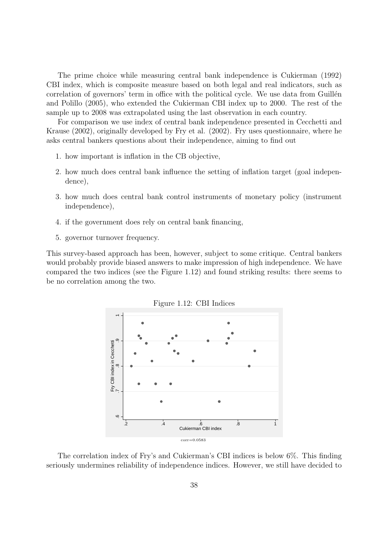The prime choice while measuring central bank independence is Cukierman (1992) CBI index, which is composite measure based on both legal and real indicators, such as correlation of governors' term in office with the political cycle. We use data from Guillén and Polillo (2005), who extended the Cukierman CBI index up to 2000. The rest of the sample up to 2008 was extrapolated using the last observation in each country.

For comparison we use index of central bank independence presented in Cecchetti and Krause (2002), originally developed by Fry et al. (2002). Fry uses questionnaire, where he asks central bankers questions about their independence, aiming to find out

- 1. how important is inflation in the CB objective,
- 2. how much does central bank influence the setting of inflation target (goal independence),
- 3. how much does central bank control instruments of monetary policy (instrument independence),
- 4. if the government does rely on central bank financing,
- 5. governor turnover frequency.

This survey-based approach has been, however, subject to some critique. Central bankers would probably provide biased answers to make impression of high independence. We have compared the two indices (see the Figure 1.12) and found striking results: there seems to be no correlation among the two.



The correlation index of Fry's and Cukierman's CBI indices is below 6%. This finding seriously undermines reliability of independence indices. However, we still have decided to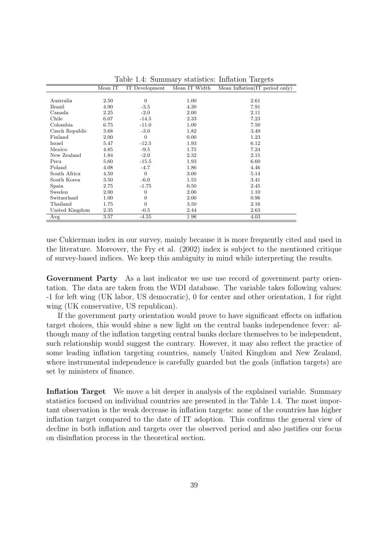|                | Mean IT | IT Development | ◡<br>Mean IT Width | $\check{~}$<br>Mean Inflation(IT period only) |
|----------------|---------|----------------|--------------------|-----------------------------------------------|
|                |         |                |                    |                                               |
| Australia      | 2.50    | $\theta$       | 1.00               | 2.61                                          |
| Brazil         | 4.90    | $-3.5$         | 4.30               | 7.91                                          |
| Canada         | 2.25    | $-2.0$         | 2.00               | 2.11                                          |
| Chile          | 6.07    | $-14.5$        | 2.33               | 7.23                                          |
| Colombia       | 6.75    | $-11.0$        | 1.00               | 7.50                                          |
| Czech Republic | 3.68    | $-3.0$         | 1.82               | 3.49                                          |
| Finland        | 2.00    | $\overline{0}$ | 0.00               | 1.23                                          |
| Israel         | 5.47    | $-12.5$        | 1.93               | 6.12                                          |
| Mexico         | 4.85    | $-9.5$         | 1.75               | 7.24                                          |
| New Zealand    | 1.84    | $-2.0$         | 2.32               | 2.15                                          |
| Peru           | 5.60    | $-15.5$        | 1.93               | 6.60                                          |
| Poland         | 4.08    | $-4.7$         | 1.86               | 4.46                                          |
| South Africa   | 4.50    | $\Omega$       | 3.00               | 5.14                                          |
| South Korea    | 3.50    | $-6.0$         | 1.55               | 3.41                                          |
| Spain          | 2.75    | $-1.75$        | 0.50               | 2.45                                          |
| Sweden         | 2.00    | $\theta$       | 2.00               | 1.10                                          |
| Switzerland    | 1.00    | $\theta$       | 2.00               | 0.96                                          |
| Thailand       | 1.75    | $\overline{0}$ | 3.50               | 2.16                                          |
| United Kingdom | 2.35    | $-0.5$         | 2.44               | 2.63                                          |
| Avg            | 3.57    | $-4.55$        | 1.96               | 4.03                                          |

Table 1.4: Summary statistics: Inflation Targets

use Cukierman index in our survey, mainly because it is more frequently cited and used in the literature. Moreover, the Fry et al. (2002) index is subject to the mentioned critique of survey-based indices. We keep this ambiguity in mind while interpreting the results.

Government Party As a last indicator we use use record of government party orientation. The data are taken from the WDI database. The variable takes following values: -1 for left wing (UK labor, US democratic), 0 for center and other orientation, 1 for right wing (UK conservative, US republican).

If the government party orientation would prove to have significant effects on inflation target choices, this would shine a new light on the central banks independence fever: although many of the inflation targeting central banks declare themselves to be independent, such relationship would suggest the contrary. However, it may also reflect the practice of some leading inflation targeting countries, namely United Kingdom and New Zealand, where instrumental independence is carefully guarded but the goals (inflation targets) are set by ministers of finance.

Inflation Target We move a bit deeper in analysis of the explained variable. Summary statistics focused on individual countries are presented in the Table 1.4. The most important observation is the weak decrease in inflation targets: none of the countries has higher inflation target compared to the date of IT adoption. This confirms the general view of decline in both inflation and targets over the observed period and also justifies our focus on disinflation process in the theoretical section.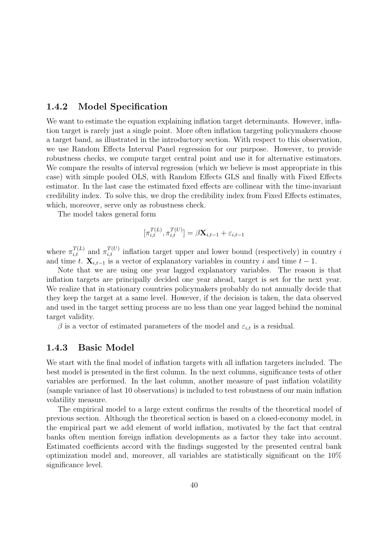## 1.4.2 Model Specification

We want to estimate the equation explaining inflation target determinants. However, inflation target is rarely just a single point. More often inflation targeting policymakers choose a target band, as illustrated in the introductory section. With respect to this observation, we use Random Effects Interval Panel regression for our purpose. However, to provide robustness checks, we compute target central point and use it for alternative estimators. We compare the results of interval regression (which we believe is most appropriate in this case) with simple pooled OLS, with Random Effects GLS and finally with Fixed Effects estimator. In the last case the estimated fixed effects are collinear with the time-invariant credibility index. To solve this, we drop the credibility index from Fixed Effects estimates, which, moreover, serve only as robustness check.

The model takes general form

$$
[\pi_{i,t}^{T(L)}, \pi_{i,t}^{T(U)}] = \beta \mathbf{X}_{i,t-1} + \varepsilon_{i,t-1}
$$

where  $\pi_{i,t}^{T(L)}$  and  $\pi_{i,t}^{T(U)}$  inflation target upper and lower bound (respectively) in country i and time t.  $\mathbf{X}_{i,t-1}$  is a vector of explanatory variables in country i and time  $t-1$ .

Note that we are using one year lagged explanatory variables. The reason is that inflation targets are principally decided one year ahead, target is set for the next year. We realize that in stationary countries policymakers probably do not annually decide that they keep the target at a same level. However, if the decision is taken, the data observed and used in the target setting process are no less than one year lagged behind the nominal target validity.

 $\beta$  is a vector of estimated parameters of the model and  $\varepsilon_{i,t}$  is a residual.

## 1.4.3 Basic Model

We start with the final model of inflation targets with all inflation targeters included. The best model is presented in the first column. In the next columns, significance tests of other variables are performed. In the last column, another measure of past inflation volatility (sample variance of last 10 observations) is included to test robustness of our main inflation volatility measure.

The empirical model to a large extent confirms the results of the theoretical model of previous section. Although the theoretical section is based on a closed-economy model, in the empirical part we add element of world inflation, motivated by the fact that central banks often mention foreign inflation developments as a factor they take into account. Estimated coefficients accord with the findings suggested by the presented central bank optimization model and, moreover, all variables are statistically significant on the 10% significance level.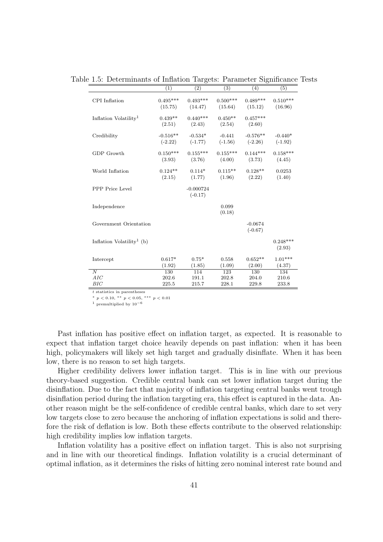Table 1.5: Determinants of Inflation Targets: Parameter Significance Tests

|                                       | (1)        | $\left( 2\right)$    | (3)        | (4)        | (5)        |
|---------------------------------------|------------|----------------------|------------|------------|------------|
| CPI Inflation                         | $0.495***$ | $0.493***$           | $0.500***$ | $0.489***$ | $0.510***$ |
|                                       | (15.75)    | (14.47)              | (15.64)    | (15.12)    | (16.96)    |
| Inflation Volatility <sup>1</sup>     | $0.439**$  | $0.440***$           | $0.450**$  | $0.457***$ |            |
|                                       | (2.51)     | (2.43)               | (2.54)     | (2.60)     |            |
| Credibility                           |            | $-0.516**$ $-0.534*$ | $-0.441$   | $-0.576**$ | $-0.440*$  |
|                                       | $(-2.22)$  | $(-1.77)$            | $(-1.56)$  | $(-2.26)$  | $(-1.92)$  |
| GDP Growth                            | $0.150***$ | $0.155***$           | $0.155***$ | $0.144***$ | $0.158***$ |
|                                       | (3.93)     | (3.76)               | (4.00)     | (3.73)     | (4.45)     |
| World Inflation                       | $0.124**$  | $0.114*$             | $0.115***$ | $0.128**$  | 0.0253     |
|                                       | (2.15)     | (1.77)               | (1.96)     | (2.22)     | (1.40)     |
| PPP Price Level                       |            | $-0.000724$          |            |            |            |
|                                       |            | $(-0.17)$            |            |            |            |
| Independence                          |            |                      | 0.099      |            |            |
|                                       |            |                      | (0.18)     |            |            |
| Government Orientation                |            |                      |            | $-0.0674$  |            |
|                                       |            |                      |            | $(-0.67)$  |            |
| Inflation Volatility <sup>1</sup> (b) |            |                      |            |            | $0.248***$ |
|                                       |            |                      |            |            | (2.93)     |
| Intercept                             | $0.617*$   | $0.75*$              | 0.558      | $0.652**$  | $1.01***$  |
|                                       | (1.92)     | (1.85)               | (1.09)     | (2.00)     | (4.37)     |
| $\overline{N}$                        | 130        | 114                  | 123        | 130        | 134        |
| AIC                                   | 202.6      | 191.1                | 202.8      | 204.0      | 210.6      |
| BIC                                   | 225.5      | 215.7                | 228.1      | 229.8      | 233.8      |

 $t$  statistics in parentheses  $% \left( t\right)$ 

\*  $p < 0.10,$  \*\*  $p < 0.05,$  \*\*\*  $p < 0.01$ 

<sup>1</sup> premultiplied by  $10^{-6}$ 

Past inflation has positive effect on inflation target, as expected. It is reasonable to expect that inflation target choice heavily depends on past inflation: when it has been high, policymakers will likely set high target and gradually disinflate. When it has been low, there is no reason to set high targets.

Higher credibility delivers lower inflation target. This is in line with our previous theory-based suggestion. Credible central bank can set lower inflation target during the disinflation. Due to the fact that majority of inflation targeting central banks went trough disinflation period during the inflation targeting era, this effect is captured in the data. Another reason might be the self-confidence of credible central banks, which dare to set very low targets close to zero because the anchoring of inflation expectations is solid and therefore the risk of deflation is low. Both these effects contribute to the observed relationship: high credibility implies low inflation targets.

Inflation volatility has a positive effect on inflation target. This is also not surprising and in line with our theoretical findings. Inflation volatility is a crucial determinant of optimal inflation, as it determines the risks of hitting zero nominal interest rate bound and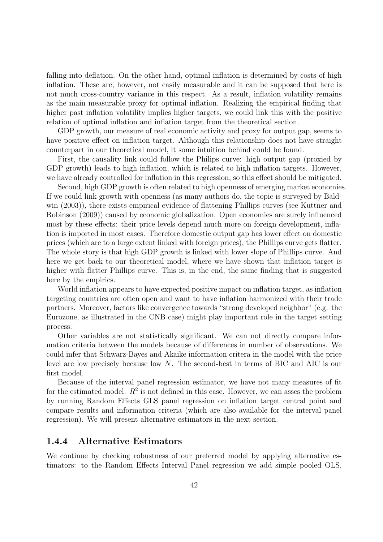falling into deflation. On the other hand, optimal inflation is determined by costs of high inflation. These are, however, not easily measurable and it can be supposed that here is not much cross-country variance in this respect. As a result, inflation volatility remains as the main measurable proxy for optimal inflation. Realizing the empirical finding that higher past inflation volatility implies higher targets, we could link this with the positive relation of optimal inflation and inflation target from the theoretical section.

GDP growth, our measure of real economic activity and proxy for output gap, seems to have positive effect on inflation target. Although this relationship does not have straight counterpart in our theoretical model, it some intuition behind could be found.

First, the causality link could follow the Philips curve: high output gap (proxied by GDP growth) leads to high inflation, which is related to high inflation targets. However, we have already controlled for inflation in this regression, so this effect should be mitigated.

Second, high GDP growth is often related to high openness of emerging market economies. If we could link growth with openness (as many authors do, the topic is surveyed by Baldwin (2003)), there exists empirical evidence of flattening Phillips curves (see Kuttner and Robinson (2009)) caused by economic globalization. Open economies are surely influenced most by these effects: their price levels depend much more on foreign development, inflation is imported in most cases. Therefore domestic output gap has lower effect on domestic prices (which are to a large extent linked with foreign prices), the Phillips curve gets flatter. The whole story is that high GDP growth is linked with lower slope of Phillips curve. And here we get back to our theoretical model, where we have shown that inflation target is higher with flatter Phillips curve. This is, in the end, the same finding that is suggested here by the empirics.

World inflation appears to have expected positive impact on inflation target, as inflation targeting countries are often open and want to have inflation harmonized with their trade partners. Moreover, factors like convergence towards "strong developed neighbor" (e.g. the Eurozone, as illustrated in the CNB case) might play important role in the target setting process.

Other variables are not statistically significant. We can not directly compare information criteria between the models because of differences in number of observations. We could infer that Schwarz-Bayes and Akaike information critera in the model with the price level are low precisely because low N. The second-best in terms of BIC and AIC is our first model.

Because of the interval panel regression estimator, we have not many measures of fit for the estimated model.  $R^2$  is not defined in this case. However, we can asses the problem by running Random Effects GLS panel regression on inflation target central point and compare results and information criteria (which are also available for the interval panel regression). We will present alternative estimators in the next section.

### 1.4.4 Alternative Estimators

We continue by checking robustness of our preferred model by applying alternative estimators: to the Random Effects Interval Panel regression we add simple pooled OLS,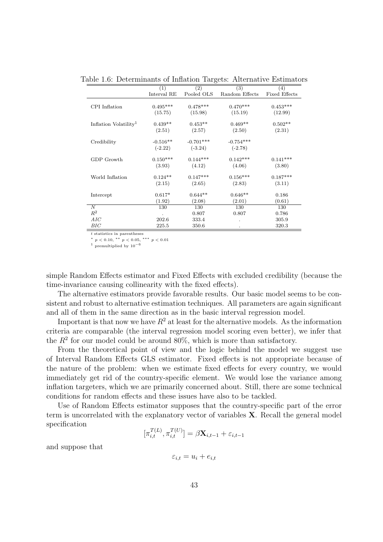|                                   | (1)         | (2)         | (3)            | (4)                  |
|-----------------------------------|-------------|-------------|----------------|----------------------|
|                                   | Interval RE | Pooled OLS  | Random Effects | <b>Fixed Effects</b> |
| CPI Inflation                     | $0.495***$  | $0.478***$  | $0.470***$     | $0.453***$           |
|                                   | (15.75)     | (15.98)     | (15.19)        | (12.99)              |
| Inflation Volatility <sup>1</sup> | $0.439**$   | $0.453**$   | $0.469**$      | $0.502^{\ast\ast}$   |
|                                   | (2.51)      | (2.57)      | (2.50)         | (2.31)               |
| Credibility                       | $-0.516**$  | $-0.701***$ | $-0.754***$    |                      |
|                                   | $(-2.22)$   | $(-3.24)$   | $(-2.78)$      |                      |
| GDP Growth                        | $0.150***$  | $0.144***$  | $0.142***$     | $0.141***$           |
|                                   | (3.93)      | (4.12)      | (4.06)         | (3.80)               |
| World Inflation                   | $0.124**$   | $0.147***$  | $0.156***$     | $0.187***$           |
|                                   | (2.15)      | (2.65)      | (2.83)         | (3.11)               |
| Intercept                         | $0.617*$    | $0.644**$   | $0.646**$      | 0.186                |
|                                   | (1.92)      | (2.08)      | (2.01)         | (0.61)               |
| $\boldsymbol{N}$                  | 130         | 130         | 130            | 130                  |
| $R^2$                             |             | 0.807       | 0.807          | 0.786                |
| AIC                               | 202.6       | 333.4       |                | 305.9                |
| BIC                               | 225.5       | 350.6       |                | 320.3                |

Table 1.6: Determinants of Inflation Targets: Alternative Estimators

*t* statistics in parentheses<br>\*  $p < 0.10$ , \*\*  $p < 0.05$ , \*\*\*  $p < 0.01$ 

<sup>1</sup> premultiplied by  $10^{-6}$ 

simple Random Effects estimator and Fixed Effects with excluded credibility (because the time-invariance causing collinearity with the fixed effects).

The alternative estimators provide favorable results. Our basic model seems to be consistent and robust to alternative estimation techniques. All parameters are again significant and all of them in the same direction as in the basic interval regression model.

Important is that now we have  $R^2$  at least for the alternative models. As the information criteria are comparable (the interval regression model scoring even better), we infer that the  $R^2$  for our model could be around 80%, which is more than satisfactory.

From the theoretical point of view and the logic behind the model we suggest use of Interval Random Effects GLS estimator. Fixed effects is not appropriate because of the nature of the problem: when we estimate fixed effects for every country, we would immediately get rid of the country-specific element. We would lose the variance among inflation targeters, which we are primarily concerned about. Still, there are some technical conditions for random effects and these issues have also to be tackled.

Use of Random Effects estimator supposes that the country-specific part of the error term is uncorrelated with the explanatory vector of variables  $X$ . Recall the general model specification

$$
[\pi_{i,t}^{T(L)}, \pi_{i,t}^{T(U)}] = \beta \mathbf{X}_{i,t-1} + \varepsilon_{i,t-1}
$$

and suppose that

$$
\varepsilon_{i,t} = u_i + e_{i,t}
$$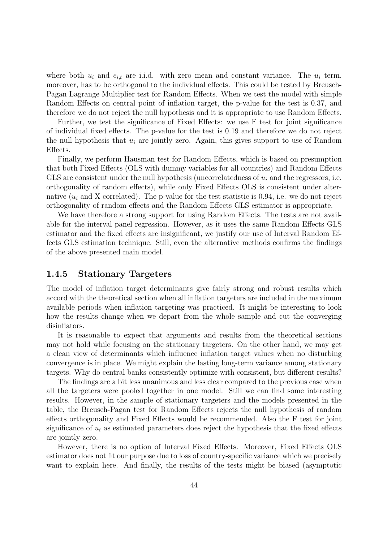where both  $u_i$  and  $e_{i,t}$  are i.i.d. with zero mean and constant variance. The  $u_i$  term, moreover, has to be orthogonal to the individual effects. This could be tested by Breusch-Pagan Lagrange Multiplier test for Random Effects. When we test the model with simple Random Effects on central point of inflation target, the p-value for the test is 0.37, and therefore we do not reject the null hypothesis and it is appropriate to use Random Effects.

Further, we test the significance of Fixed Effects: we use F test for joint significance of individual fixed effects. The p-value for the test is 0.19 and therefore we do not reject the null hypothesis that  $u_i$  are jointly zero. Again, this gives support to use of Random Effects.

Finally, we perform Hausman test for Random Effects, which is based on presumption that both Fixed Effects (OLS with dummy variables for all countries) and Random Effects GLS are consistent under the null hypothesis (uncorrelatedness of  $u_i$  and the regressors, i.e. orthogonality of random effects), while only Fixed Effects OLS is consistent under alternative  $(u_i$  and X correlated). The p-value for the test statistic is 0.94, i.e. we do not reject orthogonality of random effects and the Random Effects GLS estimator is appropriate.

We have therefore a strong support for using Random Effects. The tests are not available for the interval panel regression. However, as it uses the same Random Effects GLS estimator and the fixed effects are insignificant, we justify our use of Interval Random Effects GLS estimation technique. Still, even the alternative methods confirms the findings of the above presented main model.

## 1.4.5 Stationary Targeters

The model of inflation target determinants give fairly strong and robust results which accord with the theoretical section when all inflation targeters are included in the maximum available periods when inflation targeting was practiced. It might be interesting to look how the results change when we depart from the whole sample and cut the converging disinflators.

It is reasonable to expect that arguments and results from the theoretical sections may not hold while focusing on the stationary targeters. On the other hand, we may get a clean view of determinants which influence inflation target values when no disturbing convergence is in place. We might explain the lasting long-term variance among stationary targets. Why do central banks consistently optimize with consistent, but different results?

The findings are a bit less unanimous and less clear compared to the previous case when all the targeters were pooled together in one model. Still we can find some interesting results. However, in the sample of stationary targeters and the models presented in the table, the Breusch-Pagan test for Random Effects rejects the null hypothesis of random effects orthogonality and Fixed Effects would be recommended. Also the F test for joint significance of  $u_i$  as estimated parameters does reject the hypothesis that the fixed effects are jointly zero.

However, there is no option of Interval Fixed Effects. Moreover, Fixed Effects OLS estimator does not fit our purpose due to loss of country-specific variance which we precisely want to explain here. And finally, the results of the tests might be biased (asymptotic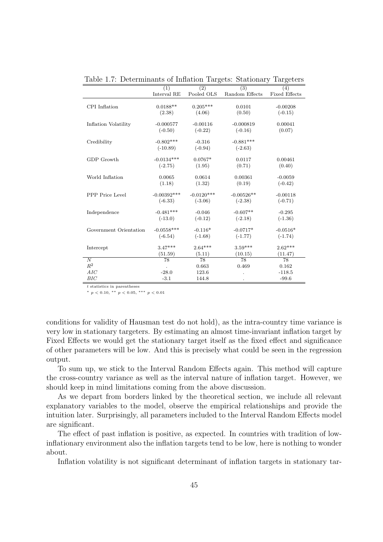|                             | (1)           | (2)          | (3)            | (4)                  |
|-----------------------------|---------------|--------------|----------------|----------------------|
|                             | Interval RE   | Pooled OLS   | Random Effects | <b>Fixed Effects</b> |
|                             |               |              |                |                      |
| CPI Inflation               | $0.0188**$    | $0.205***$   | 0.0101         | $-0.00208$           |
|                             | (2.38)        | (4.06)       | (0.50)         | $(-0.15)$            |
|                             |               |              |                |                      |
| <b>Inflation Volatility</b> | $-0.000577$   | $-0.00116$   | $-0.000819$    | 0.00041              |
|                             | $(-0.50)$     | $(-0.22)$    | $(-0.16)$      | (0.07)               |
|                             | $-0.802***$   |              |                |                      |
| Credibility                 |               | $-0.316$     | $-0.881***$    |                      |
|                             | $(-10.89)$    | $(-0.94)$    | $(-2.63)$      |                      |
| GDP Growth                  | $-0.0134***$  | $0.0767*$    | 0.0117         | 0.00461              |
|                             | $(-2.75)$     | (1.95)       | (0.71)         | (0.40)               |
|                             |               |              |                |                      |
| World Inflation             | 0.0065        | 0.0614       | 0.00361        | $-0.0059$            |
|                             | (1.18)        | (1.32)       | (0.19)         | $(-0.42)$            |
|                             |               |              |                |                      |
| PPP Price Level             | $-0.00392***$ | $-0.0120***$ | $-0.00526**$   | $-0.00118$           |
|                             | $(-6.33)$     | $(-3.06)$    | $(-2.38)$      | $(-0.71)$            |
|                             |               |              |                |                      |
| Independence                | $-0.481***$   | $-0.046$     | $-0.607**$     | $-0.295$             |
|                             | $(-13.0)$     | $(-0.12)$    | $(-2.18)$      | $(-1.36)$            |
|                             |               |              |                |                      |
| Government Orientation      | $-0.0558***$  | $-0.116*$    | $-0.0717*$     | $-0.0516*$           |
|                             | $(-6.54)$     | $(-1.68)$    | $(-1.77)$      | $(-1.74)$            |
|                             |               |              |                |                      |
| Intercept                   | $3.47***$     | $2.64***$    | $3.59***$      | $2.62***$            |
|                             | (51.59)       | (5.11)       | (10.15)        | (11.47)              |
| $\boldsymbol{N}$            | 78            | 78           | 78             | 78                   |
| $\mathbb{R}^2$              |               | 0.663        | 0.469          | 0.162                |
| AIC                         | $-28.0$       | 123.6        |                | $-118.5$             |
| BIC                         | $-3.1$        | 144.8        |                | $-99.6$              |

Table 1.7: Determinants of Inflation Targets: Stationary Targeters

t statistics in parentheses

<sup>∗</sup> p < 0.10, ∗∗ p < 0.05, ∗∗∗ p < 0.01

conditions for validity of Hausman test do not hold), as the intra-country time variance is very low in stationary targeters. By estimating an almost time-invariant inflation target by Fixed Effects we would get the stationary target itself as the fixed effect and significance of other parameters will be low. And this is precisely what could be seen in the regression output.

To sum up, we stick to the Interval Random Effects again. This method will capture the cross-country variance as well as the interval nature of inflation target. However, we should keep in mind limitations coming from the above discussion.

As we depart from borders linked by the theoretical section, we include all relevant explanatory variables to the model, observe the empirical relationships and provide the intuition later. Surprisingly, all parameters included to the Interval Random Effects model are significant.

The effect of past inflation is positive, as expected. In countries with tradition of lowinflationary environment also the inflation targets tend to be low, here is nothing to wonder about.

Inflation volatility is not significant determinant of inflation targets in stationary tar-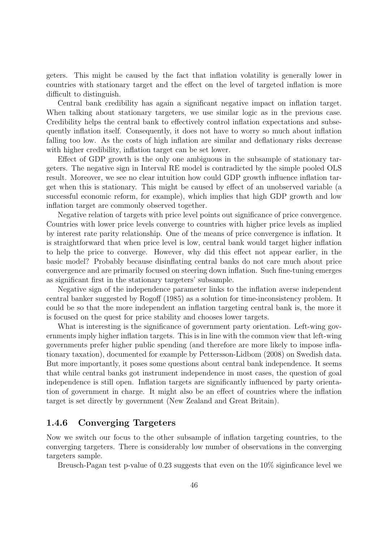geters. This might be caused by the fact that inflation volatility is generally lower in countries with stationary target and the effect on the level of targeted inflation is more difficult to distinguish.

Central bank credibility has again a significant negative impact on inflation target. When talking about stationary targeters, we use similar logic as in the previous case. Credibility helps the central bank to effectively control inflation expectations and subsequently inflation itself. Consequently, it does not have to worry so much about inflation falling too low. As the costs of high inflation are similar and deflationary risks decrease with higher credibility, inflation target can be set lower.

Effect of GDP growth is the only one ambiguous in the subsample of stationary targeters. The negative sign in Interval RE model is contradicted by the simple pooled OLS result. Moreover, we see no clear intuition how could GDP growth influence inflation target when this is stationary. This might be caused by effect of an unobserved variable (a successful economic reform, for example), which implies that high GDP growth and low inflation target are commonly observed together.

Negative relation of targets with price level points out significance of price convergence. Countries with lower price levels converge to countries with higher price levels as implied by interest rate parity relationship. One of the means of price convergence is inflation. It is straightforward that when price level is low, central bank would target higher inflation to help the price to converge. However, why did this effect not appear earlier, in the basic model? Probably because disinflating central banks do not care much about price convergence and are primarily focused on steering down inflation. Such fine-tuning emerges as significant first in the stationary targeters' subsample.

Negative sign of the independence parameter links to the inflation averse independent central banker suggested by Rogoff (1985) as a solution for time-inconsistency problem. It could be so that the more independent an inflation targeting central bank is, the more it is focused on the quest for price stability and chooses lower targets.

What is interesting is the significance of government party orientation. Left-wing governments imply higher inflation targets. This is in line with the common view that left-wing governments prefer higher public spending (and therefore are more likely to impose inflationary taxation), documented for example by Pettersson-Lidbom (2008) on Swedish data. But more importantly, it poses some questions about central bank independence. It seems that while central banks got instrument independence in most cases, the question of goal independence is still open. Inflation targets are significantly influenced by party orientation of government in charge. It might also be an effect of countries where the inflation target is set directly by government (New Zealand and Great Britain).

## 1.4.6 Converging Targeters

Now we switch our focus to the other subsample of inflation targeting countries, to the converging targeters. There is considerably low number of observations in the converging targeters sample.

Breusch-Pagan test p-value of 0.23 suggests that even on the 10% siginficance level we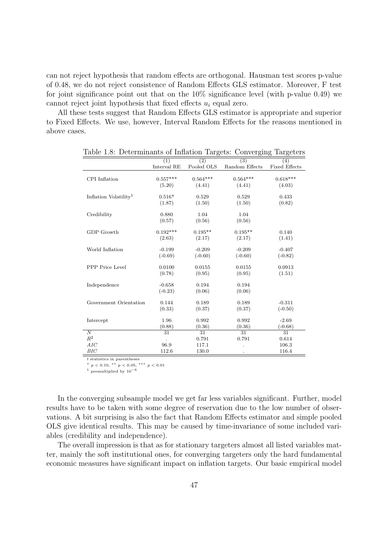can not reject hypothesis that random effects are orthogonal. Hausman test scores p-value of 0.48, we do not reject consistence of Random Effects GLS estimator. Moreover, F test for joint significance point out that on the 10% significance level (with p-value 0.49) we cannot reject joint hypothesis that fixed effects  $u_i$  equal zero.

All these tests suggest that Random Effects GLS estimator is appropriate and superior to Fixed Effects. We use, however, Interval Random Effects for the reasons mentioned in above cases.

|                                   | (1)         | (2)        | (3)            | (4)                  |
|-----------------------------------|-------------|------------|----------------|----------------------|
|                                   | Interval RE | Pooled OLS | Random Effects | <b>Fixed Effects</b> |
|                                   |             |            |                |                      |
| CPI Inflation                     | $0.557***$  | $0.564***$ | $0.564***$     | $0.618***$           |
|                                   | (5.20)      | (4.41)     | (4.41)         | (4.03)               |
| Inflation Volatility <sup>1</sup> | $0.516*$    | 0.529      | 0.529          | 0.433                |
|                                   | (1.87)      | (1.50)     | (1.50)         | (0.82)               |
|                                   |             |            |                |                      |
| Credibility                       | 0.880       | 1.04       | 1.04           |                      |
|                                   | (0.57)      | (0.56)     | (0.56)         |                      |
| GDP Growth                        | $0.192***$  | $0.195**$  | $0.195**$      | 0.140                |
|                                   | (2.63)      | (2.17)     | (2.17)         | (1.41)               |
|                                   |             |            |                |                      |
| World Inflation                   | $-0.199$    | $-0.209$   | $-0.209$       | $-0.407$             |
|                                   | $(-0.69)$   | $(-0.60)$  | $(-0.60)$      | $(-0.82)$            |
| PPP Price Level                   | 0.0100      | 0.0155     | 0.0155         | 0.0913               |
|                                   |             |            |                |                      |
|                                   | (0.78)      | (0.95)     | (0.95)         | (1.51)               |
| Independence                      | $-0.658$    | 0.194      | 0.194          |                      |
|                                   | $(-0.23)$   | (0.06)     | (0.06)         |                      |
|                                   |             |            |                |                      |
| Government Orientation            | 0.144       | 0.189      | 0.189          | $-0.311$             |
|                                   | (0.33)      | (0.37)     | (0.37)         | $(-0.50)$            |
| Intercept                         | 1.96        | 0.992      | 0.992          | $-2.69$              |
|                                   | (0.88)      | (0.36)     | (0.36)         | $(-0.68)$            |
| $\overline{N}$                    | 31          | 31         | 31             | 31                   |
| $\mathbb{R}^2$                    |             | 0.791      | 0.791          | 0.614                |
| AIC                               | 96.9        | 117.1      |                | 106.3                |
| BIC                               | 112.6       | 130.0      |                | 116.4                |

Table 1.8: Determinants of Inflation Targets: Converging Targeters

 $\boldsymbol{t}$  statistics in parentheses

<sup>∗</sup> p < 0.10, ∗∗ p < 0.05, ∗∗∗ p < 0.01

 $1$  premultiplied by  $10^{-6}$ 

In the converging subsample model we get far less variables significant. Further, model results have to be taken with some degree of reservation due to the low number of observations. A bit surprising is also the fact that Random Effects estimator and simple pooled OLS give identical results. This may be caused by time-invariance of some included variables (credibility and independence).

The overall impression is that as for stationary targeters almost all listed variables matter, mainly the soft institutional ones, for converging targeters only the hard fundamental economic measures have significant impact on inflation targets. Our basic empirical model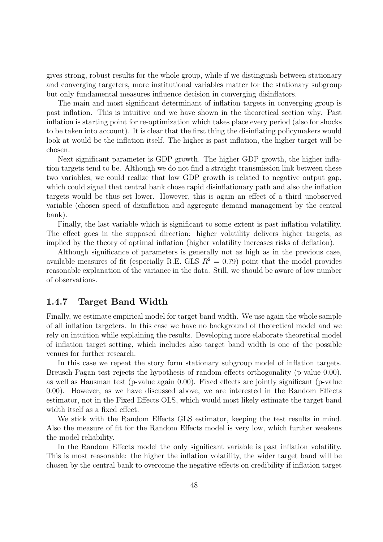gives strong, robust results for the whole group, while if we distinguish between stationary and converging targeters, more institutional variables matter for the stationary subgroup but only fundamental measures influence decision in converging disinflators.

The main and most significant determinant of inflation targets in converging group is past inflation. This is intuitive and we have shown in the theoretical section why. Past inflation is starting point for re-optimization which takes place every period (also for shocks to be taken into account). It is clear that the first thing the disinflating policymakers would look at would be the inflation itself. The higher is past inflation, the higher target will be chosen.

Next significant parameter is GDP growth. The higher GDP growth, the higher inflation targets tend to be. Although we do not find a straight transmission link between these two variables, we could realize that low GDP growth is related to negative output gap, which could signal that central bank chose rapid disinflationary path and also the inflation targets would be thus set lower. However, this is again an effect of a third unobserved variable (chosen speed of disinflation and aggregate demand management by the central bank).

Finally, the last variable which is significant to some extent is past inflation volatility. The effect goes in the supposed direction: higher volatility delivers higher targets, as implied by the theory of optimal inflation (higher volatility increases risks of deflation).

Although significance of parameters is generally not as high as in the previous case, available measures of fit (especially R.E. GLS  $R^2 = 0.79$ ) point that the model provides reasonable explanation of the variance in the data. Still, we should be aware of low number of observations.

## 1.4.7 Target Band Width

Finally, we estimate empirical model for target band width. We use again the whole sample of all inflation targeters. In this case we have no background of theoretical model and we rely on intuition while explaining the results. Developing more elaborate theoretical model of inflation target setting, which includes also target band width is one of the possible venues for further research.

In this case we repeat the story form stationary subgroup model of inflation targets. Breusch-Pagan test rejects the hypothesis of random effects orthogonality (p-value 0.00), as well as Hausman test (p-value again 0.00). Fixed effects are jointly significant (p-value 0.00). However, as we have discussed above, we are interested in the Random Effects estimator, not in the Fixed Effects OLS, which would most likely estimate the target band width itself as a fixed effect.

We stick with the Random Effects GLS estimator, keeping the test results in mind. Also the measure of fit for the Random Effects model is very low, which further weakens the model reliability.

In the Random Effects model the only significant variable is past inflation volatility. This is most reasonable: the higher the inflation volatility, the wider target band will be chosen by the central bank to overcome the negative effects on credibility if inflation target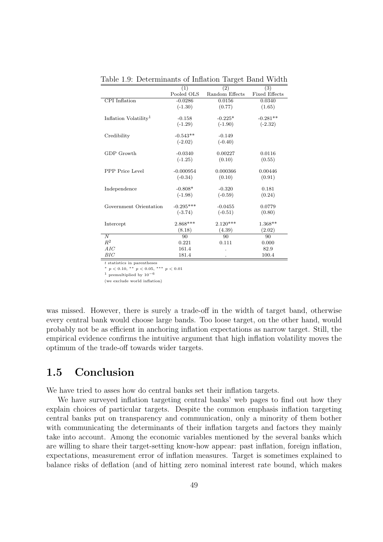|                                   | (1)         | (2)            | (3)                  |
|-----------------------------------|-------------|----------------|----------------------|
|                                   | Pooled OLS  | Random Effects | <b>Fixed Effects</b> |
| <b>CPI</b> Inflation              | $-0.0286$   | 0.0156         | 0.0340               |
|                                   | $(-1.30)$   | (0.77)         | (1.65)               |
|                                   |             |                |                      |
| Inflation Volatility <sup>1</sup> | $-0.158$    | $-0.225*$      | $-0.281**$           |
|                                   | $(-1.29)$   | $(-1.90)$      | $(-2.32)$            |
|                                   |             |                |                      |
| Credibility                       | $-0.543**$  | $-0.149$       |                      |
|                                   | $(-2.02)$   | $(-0.40)$      |                      |
| GDP Growth                        | $-0.0340$   | 0.00227        | 0.0116               |
|                                   | $(-1.25)$   | (0.10)         | (0.55)               |
|                                   |             |                |                      |
| <b>PPP</b> Price Level            | $-0.000954$ | 0.000366       | 0.00446              |
|                                   | $(-0.34)$   | (0.10)         | (0.91)               |
| Independence                      | $-0.808*$   | $-0.320$       | 0.181                |
|                                   | $(-1.98)$   | $(-0.59)$      | (0.24)               |
| Government Orientation            | $-0.295***$ | $-0.0455$      | 0.0779               |
|                                   | $(-3.74)$   | $(-0.51)$      | (0.80)               |
|                                   |             |                |                      |
| Intercept                         | $2.868***$  | $2.120***$     | $1.368**$            |
|                                   | (8.18)      | (4.39)         | (2.02)               |
| $\boldsymbol{N}$                  | 90          | 90             | 90                   |
| $R^2$                             | 0.221       | 0.111          | 0.000                |
| AIC                               | 161.4       |                | 82.9                 |
| BIC                               | 181.4       | $\bullet$      | 100.4                |
| t statistics in parentheses       |             |                |                      |

Table 1.9: Determinants of Inflation Target Band Width

<sup>∗</sup> p < 0.10, ∗∗ p < 0.05, ∗∗∗ p < 0.01

 $^{\rm 1}$  premultiplied by  $10^{\rm -6}$ 

(we exclude world inflation)

was missed. However, there is surely a trade-off in the width of target band, otherwise every central bank would choose large bands. Too loose target, on the other hand, would probably not be as efficient in anchoring inflation expectations as narrow target. Still, the empirical evidence confirms the intuitive argument that high inflation volatility moves the optimum of the trade-off towards wider targets.

## 1.5 Conclusion

We have tried to asses how do central banks set their inflation targets.

We have surveyed inflation targeting central banks' web pages to find out how they explain choices of particular targets. Despite the common emphasis inflation targeting central banks put on transparency and communication, only a minority of them bother with communicating the determinants of their inflation targets and factors they mainly take into account. Among the economic variables mentioned by the several banks which are willing to share their target-setting know-how appear: past inflation, foreign inflation, expectations, measurement error of inflation measures. Target is sometimes explained to balance risks of deflation (and of hitting zero nominal interest rate bound, which makes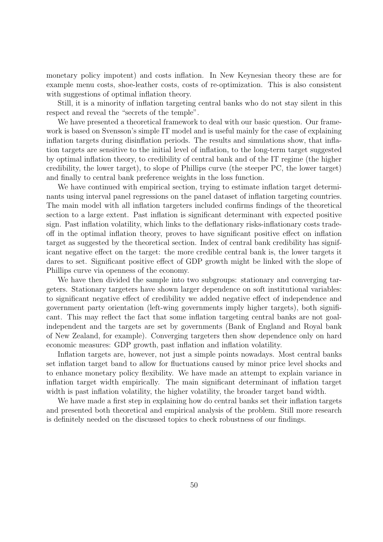monetary policy impotent) and costs inflation. In New Keynesian theory these are for example menu costs, shoe-leather costs, costs of re-optimization. This is also consistent with suggestions of optimal inflation theory.

Still, it is a minority of inflation targeting central banks who do not stay silent in this respect and reveal the "secrets of the temple".

We have presented a theoretical framework to deal with our basic question. Our framework is based on Svensson's simple IT model and is useful mainly for the case of explaining inflation targets during disinflation periods. The results and simulations show, that inflation targets are sensitive to the initial level of inflation, to the long-term target suggested by optimal inflation theory, to credibility of central bank and of the IT regime (the higher credibility, the lower target), to slope of Phillips curve (the steeper PC, the lower target) and finally to central bank preference weights in the loss function.

We have continued with empirical section, trying to estimate inflation target determinants using interval panel regressions on the panel dataset of inflation targeting countries. The main model with all inflation targeters included confirms findings of the theoretical section to a large extent. Past inflation is significant determinant with expected positive sign. Past inflation volatility, which links to the deflationary risks-inflationary costs tradeoff in the optimal inflation theory, proves to have significant positive effect on inflation target as suggested by the theoretical section. Index of central bank credibility has significant negative effect on the target: the more credible central bank is, the lower targets it dares to set. Significant positive effect of GDP growth might be linked with the slope of Phillips curve via openness of the economy.

We have then divided the sample into two subgroups: stationary and converging targeters. Stationary targeters have shown larger dependence on soft institutional variables: to significant negative effect of credibility we added negative effect of independence and government party orientation (left-wing governments imply higher targets), both significant. This may reflect the fact that some inflation targeting central banks are not goalindependent and the targets are set by governments (Bank of England and Royal bank of New Zealand, for example). Converging targeters then show dependence only on hard economic measures: GDP growth, past inflation and inflation volatility.

Inflation targets are, however, not just a simple points nowadays. Most central banks set inflation target band to allow for fluctuations caused by minor price level shocks and to enhance monetary policy flexibility. We have made an attempt to explain variance in inflation target width empirically. The main significant determinant of inflation target width is past inflation volatility, the higher volatility, the broader target band width.

We have made a first step in explaining how do central banks set their inflation targets and presented both theoretical and empirical analysis of the problem. Still more research is definitely needed on the discussed topics to check robustness of our findings.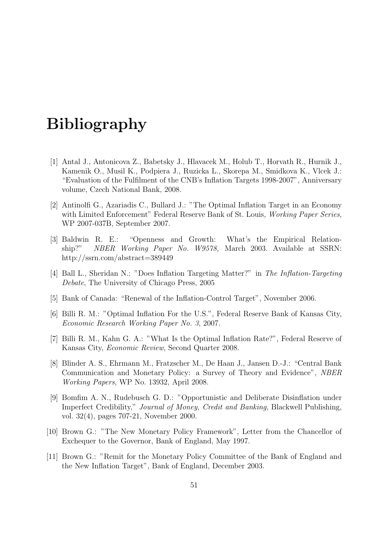# Bibliography

- [1] Antal J., Antonicova Z., Babetsky J., Hlavacek M., Holub T., Horvath R., Hurnik J., Kamenik O., Musil K., Podpiera J., Ruzicka L., Skorepa M., Smidkova K., Vlcek J.: "Evaluation of the Fulfilment of the CNB's Inflation Targets 1998-2007", Anniversary volume, Czech National Bank, 2008.
- [2] Antinolfi G., Azariadis C., Bullard J.: "The Optimal Inflation Target in an Economy with Limited Enforcement" Federal Reserve Bank of St. Louis, Working Paper Series, WP 2007-037B, September 2007.
- [3] Baldwin R. E.: "Openness and Growth: What's the Empirical Relationship?" NBER Working Paper No. W9578, March 2003. Available at SSRN: http://ssrn.com/abstract=389449
- [4] Ball L., Sheridan N.: "Does Inflation Targeting Matter?" in The Inflation-Targeting Debate, The University of Chicago Press, 2005
- [5] Bank of Canada: "Renewal of the Inflation-Control Target", November 2006.
- [6] Billi R. M.: "Optimal Inflation For the U.S.", Federal Reserve Bank of Kansas City, Economic Research Working Paper No. 3, 2007.
- [7] Billi R. M., Kahn G. A.: "What Is the Optimal Inflation Rate?", Federal Reserve of Kansas City, Economic Review, Second Quarter 2008.
- [8] Blinder A. S., Ehrmann M., Fratzscher M., De Haan J., Jansen D.-J.: "Central Bank Communication and Monetary Policy: a Survey of Theory and Evidence", NBER Working Papers, WP No. 13932, April 2008.
- [9] Bomfim A. N., Rudebusch G. D.: "Opportunistic and Deliberate Disinflation under Imperfect Credibility," Journal of Money, Credit and Banking, Blackwell Publishing, vol. 32(4), pages 707-21, November 2000.
- [10] Brown G.: "The New Monetary Policy Framework", Letter from the Chancellor of Exchequer to the Governor, Bank of England, May 1997.
- [11] Brown G.: "Remit for the Monetary Policy Committee of the Bank of England and the New Inflation Target", Bank of England, December 2003.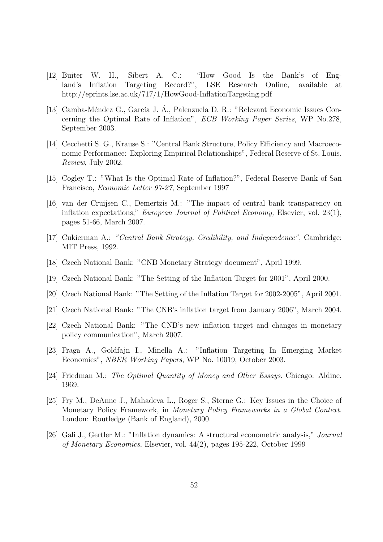- [12] Buiter W. H., Sibert A. C.: "How Good Is the Bank's of England's Inflation Targeting Record?", LSE Research Online, available at http://eprints.lse.ac.uk/717/1/HowGood-InflationTargeting.pdf
- [13] Camba-Méndez G., García J. A., Palenzuela D. R.: "Relevant Economic Issues Concerning the Optimal Rate of Inflation", ECB Working Paper Series, WP No.278, September 2003.
- [14] Cecchetti S. G., Krause S.: "Central Bank Structure, Policy Efficiency and Macroeconomic Performance: Exploring Empirical Relationships", Federal Reserve of St. Louis, Review, July 2002.
- [15] Cogley T.: "What Is the Optimal Rate of Inflation?", Federal Reserve Bank of San Francisco, Economic Letter 97-27, September 1997
- [16] van der Cruijsen C., Demertzis M.: "The impact of central bank transparency on inflation expectations," European Journal of Political Economy, Elsevier, vol. 23(1), pages 51-66, March 2007.
- [17] Cukierman A.: "Central Bank Strategy, Credibility, and Independence", Cambridge: MIT Press, 1992.
- [18] Czech National Bank: "CNB Monetary Strategy document", April 1999.
- [19] Czech National Bank: "The Setting of the Inflation Target for 2001", April 2000.
- [20] Czech National Bank: "The Setting of the Inflation Target for 2002-2005", April 2001.
- [21] Czech National Bank: "The CNB's inflation target from January 2006", March 2004.
- [22] Czech National Bank: "The CNB's new inflation target and changes in monetary policy communication", March 2007.
- [23] Fraga A., Goldfajn I., Minella A.: "Inflation Targeting In Emerging Market Economies", NBER Working Papers, WP No. 10019, October 2003.
- [24] Friedman M.: The Optimal Quantity of Money and Other Essays. Chicago: Aldine. 1969.
- [25] Fry M., DeAnne J., Mahadeva L., Roger S., Sterne G.: Key Issues in the Choice of Monetary Policy Framework, in Monetary Policy Frameworks in a Global Context. London: Routledge (Bank of England), 2000.
- [26] Gali J., Gertler M.: "Inflation dynamics: A structural econometric analysis," Journal of Monetary Economics, Elsevier, vol. 44(2), pages 195-222, October 1999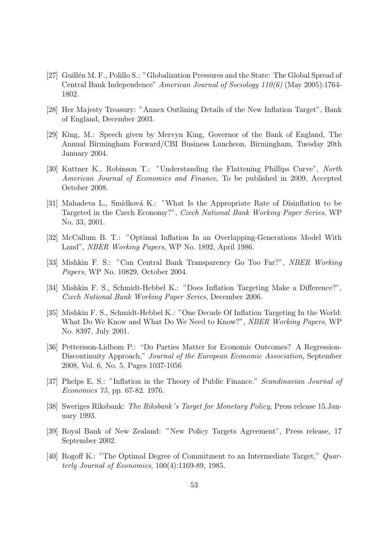- [27] Guillén M. F., Polillo S.: "Globalization Pressures and the State: The Global Spread of Central Bank Independence" American Journal of Sociology 110(6) (May 2005):1764- 1802.
- [28] Her Majesty Treasury: "Annex Outlining Details of the New Inflation Target", Bank of England, December 2003.
- [29] King, M.: Speech given by Mervyn King, Governor of the Bank of England, The Annual Birmingham Forward/CBI Business Luncheon, Birmingham, Tuesday 20th January 2004.
- [30] Kuttner K., Robinson T.: "Understanding the Flattening Phillips Curve", North American Journal of Economics and Finance, To be published in 2009, Accepted October 2008.
- [31] Mahadeva L., Smídková K.: "What Is the Appropriate Rate of Disinflation to be Targeted in the Czech Economy?", Czech National Bank Working Paper Series, WP No. 33, 2001.
- [32] McCallum B. T.: "Optimal Inflation In an Overlapping-Generations Model With Land", NBER Working Papers, WP No. 1892, April 1986.
- [33] Mishkin F. S.: "Can Central Bank Transparency Go Too Far?", NBER Working Papers, WP No. 10829, October 2004.
- [34] Mishkin F. S., Schmidt-Hebbel K.: "Does Inflation Targeting Make a Difference?", Czech National Bank Working Paper Series, December 2006.
- [35] Mishkin F. S., Schmidt-Hebbel K.: "One Decade Of Inflation Targeting In the World: What Do We Know and What Do We Need to Know?", NBER Working Papers, WP No. 8397, July 2001.
- [36] Pettersson-Lidbom P.: "Do Parties Matter for Economic Outcomes? A Regression-Discontinuity Approach," Journal of the European Economic Association, September 2008, Vol. 6, No. 5, Pages 1037-1056
- [37] Phelps E. S.: "Inflation in the Theory of Public Finance." Scandinavian Journal of Economics 75, pp. 67-82. 1976.
- [38] Sweriges Riksbank: The Riksbank´s Target for Monetary Policy, Press release 15.January 1993.
- [39] Royal Bank of New Zealand: "New Policy Targets Agreement", Press release, 17 September 2002.
- [40] Rogoff K.: "The Optimal Degree of Commitment to an Intermediate Target," Quarterly Journal of Economics, 100(4):1169-89, 1985.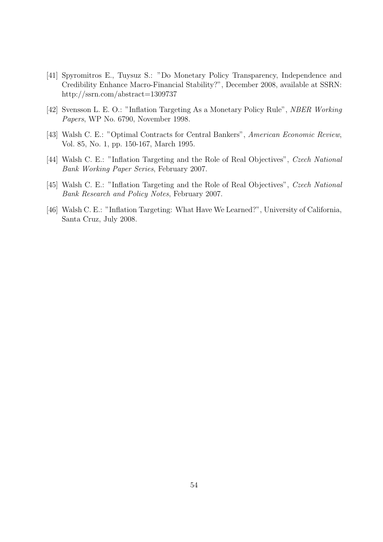- [41] Spyromitros E., Tuysuz S.: "Do Monetary Policy Transparency, Independence and Credibility Enhance Macro-Financial Stability?", December 2008, available at SSRN: http://ssrn.com/abstract=1309737
- [42] Svensson L. E. O.: "Inflation Targeting As a Monetary Policy Rule", NBER Working Papers, WP No. 6790, November 1998.
- [43] Walsh C. E.: "Optimal Contracts for Central Bankers", American Economic Review, Vol. 85, No. 1, pp. 150-167, March 1995.
- [44] Walsh C. E.: "Inflation Targeting and the Role of Real Objectives", Czech National Bank Working Paper Series, February 2007.
- [45] Walsh C. E.: "Inflation Targeting and the Role of Real Objectives", Czech National Bank Research and Policy Notes, February 2007.
- [46] Walsh C. E.: "Inflation Targeting: What Have We Learned?", University of California, Santa Cruz, July 2008.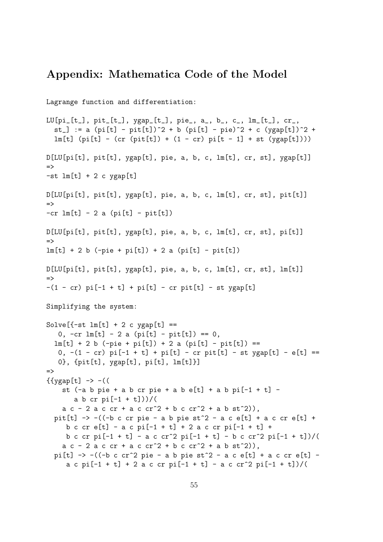## Appendix: Mathematica Code of the Model

Lagrange function and differentiation:

 $LU[pi_{-}[t_{-}], pit_{-}[t_{-}], ygap_{-}[t_{-}], pie_{-}, a_{-}, b_{-}, c_{-}, lm_{-}[t_{-}], cr_{-},$ st\_] := a (pi[t] - pit[t])^2 + b (pi[t] - pie)^2 + c (ygap[t])^2 +  $lm[t] (pi[t] - (cr (pit[t]) + (1 - cr) pi[t - 1] + st (ygap[t])))$ D[LU[pi[t], pit[t], ygap[t], pie, a, b, c, lm[t], cr, st], ygap[t]]  $\Rightarrow$  $-st$  lm $[t] + 2 c$  ygap $[t]$  $D[LU[pi[t], pit[t], ygap[t], pie, a, b, c, lm[t], cr, st], pit[t]]$  $\Rightarrow$  $-cr$   $lm[t] - 2 a (pi[t] - pit[t])$ D[LU[pi[t], pit[t], ygap[t], pie, a, b, c, lm[t], cr, st], pi[t]]  $\Rightarrow$  $lm[t] + 2 b (-pie + pi[t]) + 2 a (pi[t] - pit[t])$ D[LU[pi[t], pit[t], ygap[t], pie, a, b, c, lm[t], cr, st], lm[t]] =>  $-(1 - cr)$  pi $[-1 + t] + pi[t] - cr$  pit $[t] - st$  ygap $[t]$ Simplifying the system: Solve $[\{-st \text{lm}[t] + 2 \text{c} \text{ygap}[t] =$ 0,  $-cr$   $lm[t] - 2a$  (pi[t] - pit[t]) == 0,  $lm[t] + 2 b (-pie + pi[t]) + 2 a (pi[t] - pit[t]) =$ 0,  $-(1 - cr)$  pi $[-1 + t] + pi[t] - cr$  pit $[t] - st$  ygap $[t] - e[t] ==$ 0}, {pit[t], ygap[t], pi[t], lm[t]}]  $\Rightarrow$  $\{ \text{ygap}[t] \rightarrow -(($ st  $(-a b pie + a b cr pie + a b e[t] + a b pi[-1 + t]$ a b cr  $pi[-1 + t]$ ))/(  $a c - 2 a c cr + a c cr^2 + b c cr^2 + a b st^2),$ pit[t]  $\rightarrow$  -((-b c cr pie - a b pie st<sup>2</sup> - a c e[t] + a c cr e[t] + b c cr e[t] - a c pi[-1 + t] + 2 a c cr pi[-1 + t] + b c cr pi $[-1 + t]$  - a c cr<sup>2</sup> pi $[-1 + t]$  - b c cr<sup>2</sup> pi $[-1 + t]$ )/(  $a c - 2 a c cr + a c cr^2 + b c cr^2 + a b st^2),$ pi[t]  $\rightarrow$  -((-b c cr<sup>^</sup>2 pie - a b pie st<sup>^2</sup> - a c e[t] + a c cr e[t] a c pi $[-1 + t]$  + 2 a c cr pi $[-1 + t]$  - a c cr<sup>2</sup> pi $[-1 + t]$ )/(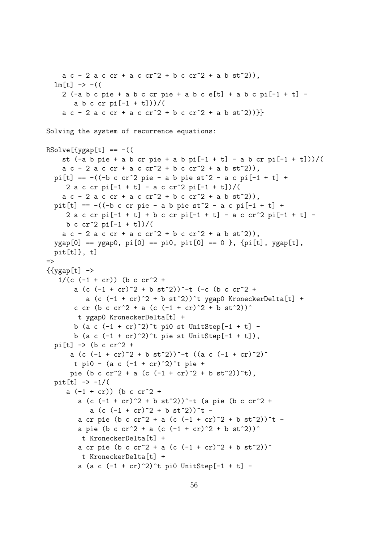```
a c - 2 a c cr + a c cr^2 + b c cr^2 + a b st^2),lm[t] -> -((
    2 (-a b c pie + a b c cr pie + a b c e[t] + a b c pi[-1 + t] -
       a b c cr pi[-1 + t]))/(
    a c - 2 a c cr + a c cr^2 + b c cr^2 + a b st^2)}}}
Solving the system of recurrence equations:
RSolve[\{ygap[t] == -(st (-a b p i e + a b c r p i e + a b p i [-1 + t] - a b c r p i [-1 + t])/a c - 2 a c cr + a c cr^2 + b c cr^2 + a b st^2),pi[t] == -((-b c cr^2) pie - a b pie st<sup>2</sup> - a c pi[-1 + t] +
     2 a c cr pi[-1 + t] - a c cr<sup>^2</sup> pi[-1 + t])/(
    a c - 2 a c cr + a c cr^2 + b c cr^2 + a b st^2),pit[t] == -((-b c cr pie - a b pie st<sup>2</sup> - a c pi[-1 + t] +2 a c cr pi[-1 + t] + b c cr pi[-1 + t] - a c cr<sup>^</sup>2 pi[-1 + t] -
     b c cr^2 pi[-1 + t]/(a c - 2 a c cr + a c cr^2 + b c cr^2 + a b st^2),ygap[0] == ygap0, pi[0] == pi0, pit[0] == 0 }, {pi[t], ygap[t],
  pit[t], t]\Rightarrow{ygap[t]} \rightarrow1/((c (-1 + cr)) (b c cr<sup>2</sup> +
       a (c (-1 + cr)^2 + b st^2))^-t (-c (b c cr^2 +
           a (c (-1 + cr)^2 + b st<sup>2</sup>))<sup>*</sup>t ygap0 KroneckerDelta[t] +
       c cr (b c cr^2 + a (c (-1 + cr)^2 + b st^2))^
        t ygap0 KroneckerDelta[t] +
       b (a c (-1 + cr)^2)^t pi0 st UnitStep[-1 + t] -
       b (a c (-1 + cr)^2)^t pie st UnitStep[-1 + t]),
  pi[t] -> (b c cr^2 +
      a (c (-1 + cr)^2 + b st^2)^-t ((a c (-1 + cr)^2)^
       t pi0 - (a c (-1 + cr)^2)<sup>+</sup>t pie +
      pie (b c cr^2 + a (c (-1 + cr)^2 + b st^2))^t),
  pit[t] -> -1/(
     a (-1 + cr) (b c cr^2 +
        a (c (-1 + cr)^2 + b st^2))^-t (a pie (b c cr^2 +
            a (c (-1 + cr)^2 + b st^2))<sup>*</sup>t -
        a cr pie (b c cr^2 + a (c (-1 + cr)^2 + b st^2))^t -
        a pie (b c cr^2 + a (c (-1 + cr)^2 + b st^2))^
         t KroneckerDelta[t] +
        a cr pie (b c cr<sup>2</sup> + a (c (-1 + cr)<sup>2</sup> + b st<sup>2</sup>))<sup>*</sup>
         t KroneckerDelta[t] +
        a (a c (-1 + cr)^2)<sup>-</sup>t pi0 UnitStep[-1 + t] -
```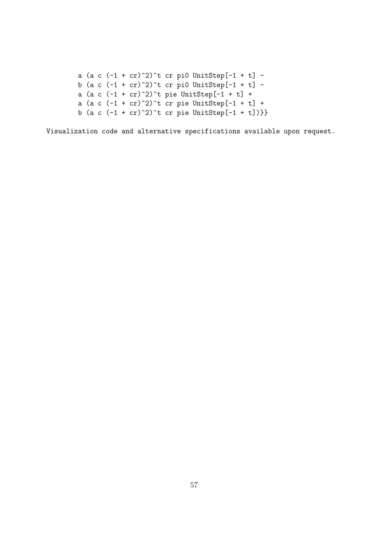a (a c  $(-1 + cr)^2$ )^t cr pi0 UnitStep[-1 + t] b (a c  $(-1 + cr)^2$ )^t cr pi0 UnitStep[-1 + t] a (a c  $(-1 + cr)^2$ )<sup>+</sup> pie UnitStep[-1 + t] + a (a c  $(-1 + cr)^2$ )^t cr pie UnitStep[-1 + t] + b (a c  $(-1 + cr)^2$ )^t cr pie UnitStep[-1 + t])}}

Visualization code and alternative specifications available upon request.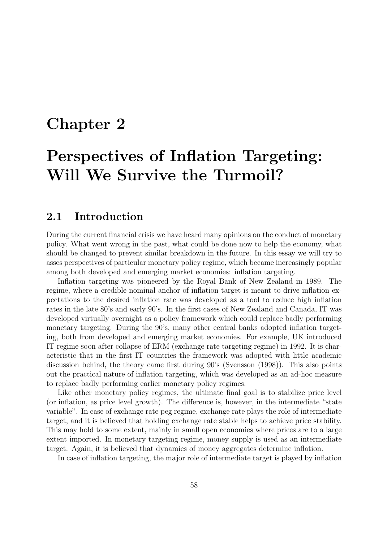## Chapter 2

## Perspectives of Inflation Targeting: Will We Survive the Turmoil?

## 2.1 Introduction

During the current financial crisis we have heard many opinions on the conduct of monetary policy. What went wrong in the past, what could be done now to help the economy, what should be changed to prevent similar breakdown in the future. In this essay we will try to asses perspectives of particular monetary policy regime, which became increasingly popular among both developed and emerging market economies: inflation targeting.

Inflation targeting was pioneered by the Royal Bank of New Zealand in 1989. The regime, where a credible nominal anchor of inflation target is meant to drive inflation expectations to the desired inflation rate was developed as a tool to reduce high inflation rates in the late 80's and early 90's. In the first cases of New Zealand and Canada, IT was developed virtually overnight as a policy framework which could replace badly performing monetary targeting. During the 90's, many other central banks adopted inflation targeting, both from developed and emerging market economies. For example, UK introduced IT regime soon after collapse of ERM (exchange rate targeting regime) in 1992. It is characteristic that in the first IT countries the framework was adopted with little academic discussion behind, the theory came first during 90's (Svensson (1998)). This also points out the practical nature of inflation targeting, which was developed as an ad-hoc measure to replace badly performing earlier monetary policy regimes.

Like other monetary policy regimes, the ultimate final goal is to stabilize price level (or inflation, as price level growth). The difference is, however, in the intermediate "state variable". In case of exchange rate peg regime, exchange rate plays the role of intermediate target, and it is believed that holding exchange rate stable helps to achieve price stability. This may hold to some extent, mainly in small open economies where prices are to a large extent imported. In monetary targeting regime, money supply is used as an intermediate target. Again, it is believed that dynamics of money aggregates determine inflation.

In case of inflation targeting, the major role of intermediate target is played by inflation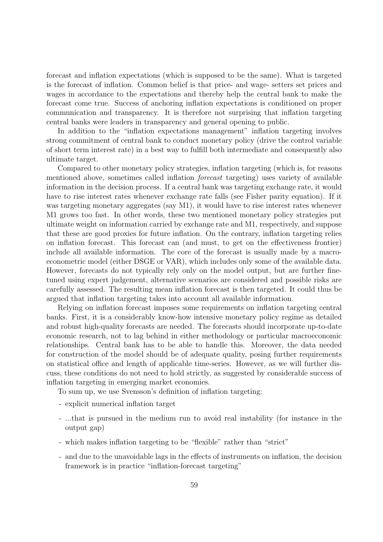forecast and inflation expectations (which is supposed to be the same). What is targeted is the forecast of inflation. Common belief is that price- and wage- setters set prices and wages in accordance to the expectations and thereby help the central bank to make the forecast come true. Success of anchoring inflation expectations is conditioned on proper communication and transparency. It is therefore not surprising that inflation targeting central banks were leaders in transparency and general opening to public.

In addition to the "inflation expectations management" inflation targeting involves strong commitment of central bank to conduct monetary policy (drive the control variable of short term interest rate) in a best way to fulfill both intermediate and consequently also ultimate target.

Compared to other monetary policy strategies, inflation targeting (which is, for reasons mentioned above, sometimes called inflation forecast targeting) uses variety of available information in the decision process. If a central bank was targeting exchange rate, it would have to rise interest rates whenever exchange rate falls (see Fisher parity equation). If it was targeting monetary aggregates (say M1), it would have to rise interest rates whenever M1 grows too fast. In other words, these two mentioned monetary policy strategies put ultimate weight on information carried by exchange rate and M1, respectively, and suppose that these are good proxies for future inflation. On the contrary, inflation targeting relies on inflation forecast. This forecast can (and must, to get on the effectiveness frontier) include all available information. The core of the forecast is usually made by a macroeconometric model (either DSGE or VAR), which includes only some of the available data. However, forecasts do not typically rely only on the model output, but are further finetuned using expert judgement, alternative scenarios are considered and possible risks are carefully assessed. The resulting mean inflation forecast is then targeted. It could thus be argued that inflation targeting takes into account all available information.

Relying on inflation forecast imposes some requirements on inflation targeting central banks. First, it is a considerably know-how intensive monetary policy regime as detailed and robust high-quality forecasts are needed. The forecasts should incorporate up-to-date economic research, not to lag behind in either methodology or particular macroeconomic relationships. Central bank has to be able to handle this. Moreover, the data needed for construction of the model should be of adequate quality, posing further requirements on statistical office and length of applicable time-series. However, as we will further discuss, these conditions do not need to hold strictly, as suggested by considerable success of inflation targeting in emerging market economies.

To sum up, we use Svensson's definition of inflation targeting:

- explicit numerical inflation target
- ...that is pursued in the medium run to avoid real instability (for instance in the output gap)
- which makes inflation targeting to be "flexible" rather than "strict"
- and due to the unavoidable lags in the effects of instruments on inflation, the decision framework is in practice "inflation-forecast targeting"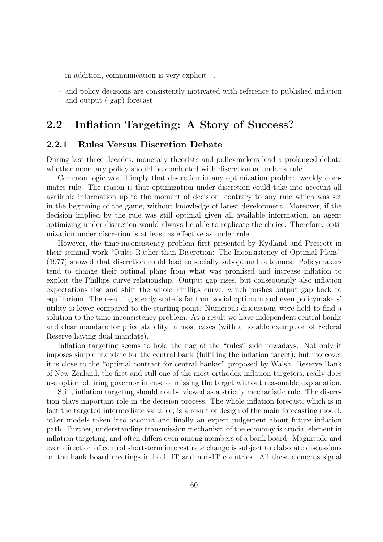- in addition, communication is very explicit ...
- and policy decisions are consistently motivated with reference to published inflation and output (-gap) forecast

## 2.2 Inflation Targeting: A Story of Success?

## 2.2.1 Rules Versus Discretion Debate

During last three decades, monetary theorists and policymakers lead a prolonged debate whether monetary policy should be conducted with discretion or under a rule.

Common logic would imply that discretion in any optimization problem weakly dominates rule. The reason is that optimization under discretion could take into account all available information up to the moment of decision, contrary to any rule which was set in the beginning of the game, without knowledge of latest development. Moreover, if the decision implied by the rule was still optimal given all available information, an agent optimizing under discretion would always be able to replicate the choice. Therefore, optimization under discretion is at least as effective as under rule.

However, the time-inconsistency problem first presented by Kydland and Prescott in their seminal work "Rules Rather than Discretion: The Inconsistency of Optimal Plans" (1977) showed that discretion could lead to socially suboptimal outcomes. Policymakers tend to change their optimal plans from what was promised and increase inflation to exploit the Phillips curve relationship. Output gap rises, but consequently also inflation expectations rise and shift the whole Phillips curve, which pushes output gap back to equilibrium. The resulting steady state is far from social optimum and even policymakers' utility is lower compared to the starting point. Numerous discussions were held to find a solution to the time-inconsistency problem. As a result we have independent central banks and clear mandate for price stability in most cases (with a notable exemption of Federal Reserve having dual mandate).

Inflation targeting seems to hold the flag of the "rules" side nowadays. Not only it imposes simple mandate for the central bank (fulfilling the inflation target), but moreover it is close to the "optimal contract for central banker" proposed by Walsh. Reserve Bank of New Zealand, the first and still one of the most orthodox inflation targeters, really does use option of firing governor in case of missing the target without reasonable explanation.

Still, inflation targeting should not be viewed as a strictly mechanistic rule. The discretion plays important role in the decision process. The whole inflation forecast, which is in fact the targeted intermediate variable, is a result of design of the main forecasting model, other models taken into account and finally an expert judgement about future inflation path. Further, understanding transmission mechanism of the economy is crucial element in inflation targeting, and often differs even among members of a bank board. Magnitude and even direction of control short-term interest rate change is subject to elaborate discussions on the bank board meetings in both IT and non-IT countries. All these elements signal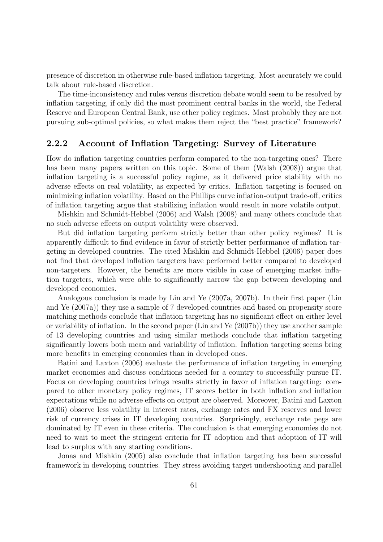presence of discretion in otherwise rule-based inflation targeting. Most accurately we could talk about rule-based discretion.

The time-inconsistency and rules versus discretion debate would seem to be resolved by inflation targeting, if only did the most prominent central banks in the world, the Federal Reserve and European Central Bank, use other policy regimes. Most probably they are not pursuing sub-optimal policies, so what makes them reject the "best practice" framework?

## 2.2.2 Account of Inflation Targeting: Survey of Literature

How do inflation targeting countries perform compared to the non-targeting ones? There has been many papers written on this topic. Some of them (Walsh (2008)) argue that inflation targeting is a successful policy regime, as it delivered price stability with no adverse effects on real volatility, as expected by critics. Inflation targeting is focused on minimizing inflation volatility. Based on the Phillips curve inflation-output trade-off, critics of inflation targeting argue that stabilizing inflation would result in more volatile output.

Mishkin and Schmidt-Hebbel (2006) and Walsh (2008) and many others conclude that no such adverse effects on output volatility were observed.

But did inflation targeting perform strictly better than other policy regimes? It is apparently difficult to find evidence in favor of strictly better performance of inflation targeting in developed countries. The cited Mishkin and Schmidt-Hebbel (2006) paper does not find that developed inflation targeters have performed better compared to developed non-targeters. However, the benefits are more visible in case of emerging market inflation targeters, which were able to significantly narrow the gap between developing and developed economies.

Analogous conclusion is made by Lin and Ye (2007a, 2007b). In their first paper (Lin and Ye (2007a)) they use a sample of 7 developed countries and based on propensity score matching methods conclude that inflation targeting has no significant effect on either level or variability of inflation. In the second paper (Lin and Ye (2007b)) they use another sample of 13 developing countries and using similar methods conclude that inflation targeting significantly lowers both mean and variability of inflation. Inflation targeting seems bring more benefits in emerging economies than in developed ones.

Batini and Laxton (2006) evaluate the performance of inflation targeting in emerging market economies and discuss conditions needed for a country to successfully pursue IT. Focus on developing countries brings results strictly in favor of inflation targeting: compared to other monetary policy regimes, IT scores better in both inflation and inflation expectations while no adverse effects on output are observed. Moreover, Batini and Laxton (2006) observe less volatility in interest rates, exchange rates and FX reserves and lower risk of currency crises in IT developing countries. Surprisingly, exchange rate pegs are dominated by IT even in these criteria. The conclusion is that emerging economies do not need to wait to meet the stringent criteria for IT adoption and that adoption of IT will lead to surplus with any starting conditions.

Jonas and Mishkin (2005) also conclude that inflation targeting has been successful framework in developing countries. They stress avoiding target undershooting and parallel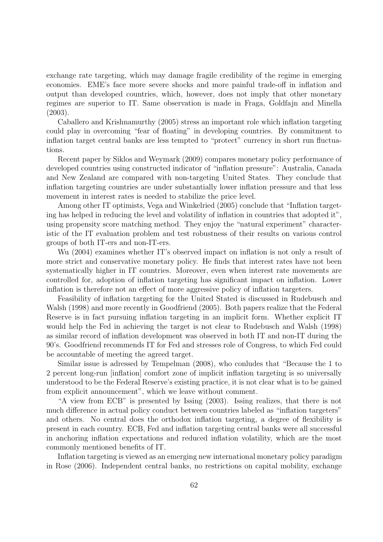exchange rate targeting, which may damage fragile credibility of the regime in emerging economies. EME's face more severe shocks and more painful trade-off in inflation and output than developed countries, which, however, does not imply that other monetary regimes are superior to IT. Same observation is made in Fraga, Goldfajn and Minella (2003).

Caballero and Krishnamurthy (2005) stress an important role which inflation targeting could play in overcoming "fear of floating" in developing countries. By commitment to inflation target central banks are less tempted to "protect" currency in short run fluctuations.

Recent paper by Siklos and Weymark (2009) compares monetary policy performance of developed countries using constructed indicator of "inflation pressure": Australia, Canada and New Zealand are compared with non-targeting United States. They conclude that inflation targeting countries are under substantially lower inflation pressure and that less movement in interest rates is needed to stabilize the price level.

Among other IT optimists, Vega and Winkelried (2005) conclude that "Inflation targeting has helped in reducing the level and volatility of inflation in countries that adopted it", using propensity score matching method. They enjoy the "natural experiment" characteristic of the IT evaluation problem and test robustness of their results on various control groups of both IT-ers and non-IT-ers.

Wu (2004) examines whether IT's observed impact on inflation is not only a result of more strict and conservative monetary policy. He finds that interest rates have not been systematically higher in IT countries. Moreover, even when interest rate movements are controlled for, adoption of inflation targeting has significant impact on inflation. Lower inflation is therefore not an effect of more aggressive policy of inflation targeters.

Feasibility of inflation targeting for the United Stated is discussed in Rudebusch and Walsh (1998) and more recently in Goodfriend (2005). Both papers realize that the Federal Reserve is in fact pursuing inflation targeting in an implicit form. Whether explicit IT would help the Fed in achieving the target is not clear to Rudebusch and Walsh (1998) as similar record of inflation development was observed in both IT and non-IT during the 90's. Goodfriend recommends IT for Fed and stresses role of Congress, to which Fed could be accountable of meeting the agreed target.

Similar issue is adressed by Tempelman (2008), who conludes that "Because the 1 to 2 percent long-run [inflation] comfort zone of implicit inflation targeting is so universally understood to be the Federal Reserve's existing practice, it is not clear what is to be gained from explicit announcement", which we leave without comment.

"A view from ECB" is presented by Issing (2003). Issing realizes, that there is not much difference in actual policy conduct between countries labeled as "inflation targeters" and others. No central does the orthodox inflation targeting, a degree of flexibility is present in each country. ECB, Fed and inflation targeting central banks were all successful in anchoring inflation expectations and reduced inflation volatility, which are the most commonly mentioned benefits of IT.

Inflation targeting is viewed as an emerging new international monetary policy paradigm in Rose (2006). Independent central banks, no restrictions on capital mobility, exchange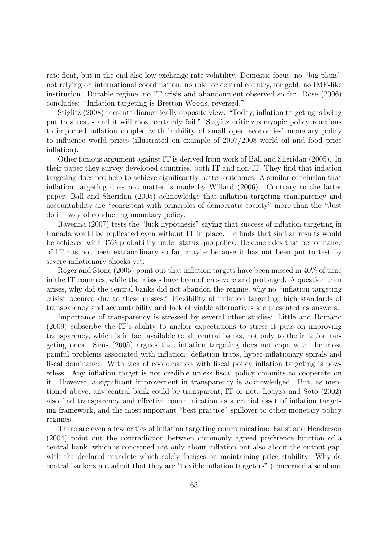rate float, but in the end also low exchange rate volatility. Domestic focus, no "big plans" not relying on international coordination, no role for central country, for gold, no IMF-like institution. Durable regime, no IT crisis and abandonment observed so far. Rose (2006) concludes: "Inflation targeting is Bretton Woods, reversed."

Stiglitz (2008) presents diametrically opposite view: "Today, inflation targeting is being put to a test - and it will most certainly fail." Stiglitz criticizes myopic policy reactions to imported inflation coupled with inability of small open economies' monetary policy to influence world prices (illustrated on example of 2007/2008 world oil and food price inflation).

Other famous argument against IT is derived from work of Ball and Sheridan (2005). In their paper they survey developed countries, both IT and non-IT. They find that inflation targeting does not help to achieve significantly better outcomes. A similar conclusion that inflation targeting does not matter is made by Willard (2006). Contrary to the latter paper, Ball and Sheridan (2005) acknowledge that inflation targeting transparency and accountability are "consistent with principles of democratic society" more than the "Just do it" way of conducting monetary policy.

Ravenna (2007) tests the "luck hypothesis" saying that success of inflation targeting in Canada would be replicated even without IT in place. He finds that similar results would be achieved with 35% probability under status quo policy. He concludes that performance of IT has not been extraordinary so far, maybe because it has not been put to test by severe inflationary shocks yet.

Roger and Stone (2005) point out that inflation targets have been missed in 40% of time in the IT countres, while the misses have been often severe and prolonged. A question then arises, why did the central banks did not abandon the regime, why no "inflation targeting crisis" occured due to these misses? Flexibility of inflation targeting, high standards of transparency and accountability and lack of viable alternatives are presented as answers.

Importance of transparency is stressed by several other studies: Little and Romano (2009) subscribe the IT's ability to anchor expectations to stress it puts on improving transparency, which is in fact available to all central banks, not only to the inflation targeting ones. Sims (2005) argues that inflation targeting does not cope with the most painful problems associated with inflation: deflation traps, hyper-inflationary spirals and fiscal dominance. With lack of coordination with fiscal policy inflation targeting is powerless. Any inflation target is not credible unless fiscal policy commits to cooperate on it. However, a significant improvement in transparency is acknowledged. But, as mentioned above, any central bank could be transparent, IT or not. Loayza and Soto (2002) also find transparency and effective communication as a crucial asset of inflation targeting framework, and the most important "best practice" spillover to other monetary policy regimes.

There are even a few critics of inflation targeting communication: Faust and Henderson (2004) point out the contradiction between commonly agreed preference function of a central bank, which is concerned not only about inflation but also about the output gap, with the declared mandate which solely focuses on maintaining price stability. Why do central bankers not admit that they are "flexible inflation targeters" (concerned also about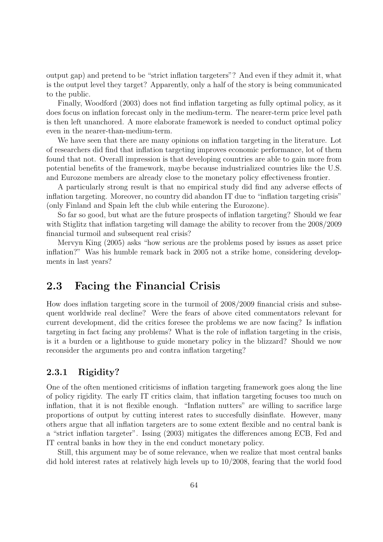output gap) and pretend to be "strict inflation targeters"? And even if they admit it, what is the output level they target? Apparently, only a half of the story is being communicated to the public.

Finally, Woodford (2003) does not find inflation targeting as fully optimal policy, as it does focus on inflation forecast only in the medium-term. The nearer-term price level path is then left unanchored. A more elaborate framework is needed to conduct optimal policy even in the nearer-than-medium-term.

We have seen that there are many opinions on inflation targeting in the literature. Lot of researchers did find that inflation targeting improves economic performance, lot of them found that not. Overall impression is that developing countries are able to gain more from potential benefits of the framework, maybe because industrialized countries like the U.S. and Eurozone members are already close to the monetary policy effectiveness frontier.

A particularly strong result is that no empirical study did find any adverse effects of inflation targeting. Moreover, no country did abandon IT due to "inflation targeting crisis" (only Finland and Spain left the club while entering the Eurozone).

So far so good, but what are the future prospects of inflation targeting? Should we fear with Stiglitz that inflation targeting will damage the ability to recover from the 2008/2009 financial turmoil and subsequent real crisis?

Mervyn King (2005) asks "how serious are the problems posed by issues as asset price inflation?" Was his humble remark back in 2005 not a strike home, considering developments in last years?

## 2.3 Facing the Financial Crisis

How does inflation targeting score in the turmoil of 2008/2009 financial crisis and subsequent worldwide real decline? Were the fears of above cited commentators relevant for current development, did the critics foresee the problems we are now facing? Is inflation targeting in fact facing any problems? What is the role of inflation targeting in the crisis, is it a burden or a lighthouse to guide monetary policy in the blizzard? Should we now reconsider the arguments pro and contra inflation targeting?

## 2.3.1 Rigidity?

One of the often mentioned criticisms of inflation targeting framework goes along the line of policy rigidity. The early IT critics claim, that inflation targeting focuses too much on inflation, that it is not flexible enough. "Inflation nutters" are willing to sacrifice large proportions of output by cutting interest rates to succesfully disinflate. However, many others argue that all inflation targeters are to some extent flexible and no central bank is a "strict inflation targeter". Issing (2003) mitigates the differences among ECB, Fed and IT central banks in how they in the end conduct monetary policy.

Still, this argument may be of some relevance, when we realize that most central banks did hold interest rates at relatively high levels up to 10/2008, fearing that the world food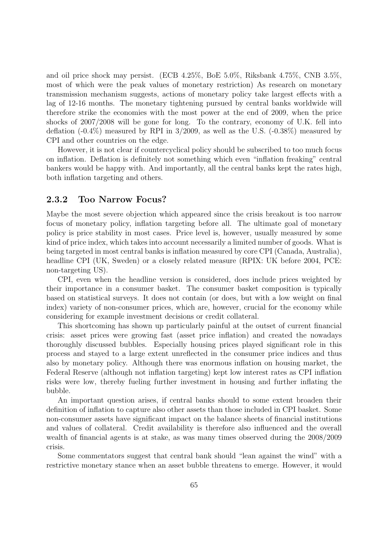and oil price shock may persist. (ECB 4.25%, BoE 5.0%, Riksbank 4.75%, CNB 3.5%, most of which were the peak values of monetary restriction) As research on monetary transmission mechanism suggests, actions of monetary policy take largest effects with a lag of 12-16 months. The monetary tightening pursued by central banks worldwide will therefore strike the economies with the most power at the end of 2009, when the price shocks of 2007/2008 will be gone for long. To the contrary, economy of U.K. fell into deflation  $(-0.4\%)$  measured by RPI in  $3/2009$ , as well as the U.S.  $(-0.38\%)$  measured by CPI and other countries on the edge.

However, it is not clear if countercyclical policy should be subscribed to too much focus on inflation. Deflation is definitely not something which even "inflation freaking" central bankers would be happy with. And importantly, all the central banks kept the rates high, both inflation targeting and others.

## 2.3.2 Too Narrow Focus?

Maybe the most severe objection which appeared since the crisis breakout is too narrow focus of monetary policy, inflation targeting before all. The ultimate goal of monetary policy is price stability in most cases. Price level is, however, usually measured by some kind of price index, which takes into account necessarily a limited number of goods. What is being targeted in most central banks is inflation measured by core CPI (Canada, Australia), headline CPI (UK, Sweden) or a closely related measure (RPIX: UK before 2004, PCE: non-targeting US).

CPI, even when the headline version is considered, does include prices weighted by their importance in a consumer basket. The consumer basket composition is typically based on statistical surveys. It does not contain (or does, but with a low weight on final index) variety of non-consumer prices, which are, however, crucial for the economy while considering for example investment decisions or credit collateral.

This shortcoming has shown up particularly painful at the outset of current financial crisis: asset prices were growing fast (asset price inflation) and created the nowadays thoroughly discussed bubbles. Especially housing prices played significant role in this process and stayed to a large extent unreflected in the consumer price indices and thus also by monetary policy. Although there was enormous inflation on housing market, the Federal Reserve (although not inflation targeting) kept low interest rates as CPI inflation risks were low, thereby fueling further investment in housing and further inflating the bubble.

An important question arises, if central banks should to some extent broaden their definition of inflation to capture also other assets than those included in CPI basket. Some non-consumer assets have significant impact on the balance sheets of financial institutions and values of collateral. Credit availability is therefore also influenced and the overall wealth of financial agents is at stake, as was many times observed during the 2008/2009 crisis.

Some commentators suggest that central bank should "lean against the wind" with a restrictive monetary stance when an asset bubble threatens to emerge. However, it would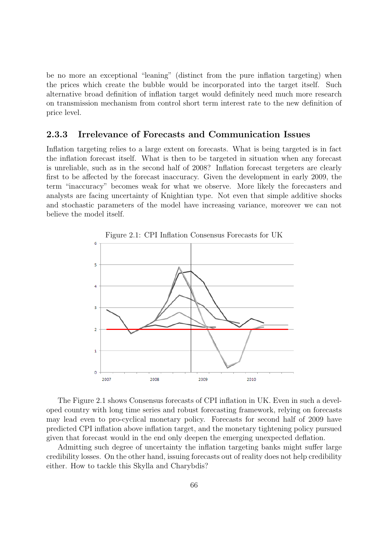be no more an exceptional "leaning" (distinct from the pure inflation targeting) when the prices which create the bubble would be incorporated into the target itself. Such alternative broad definition of inflation target would definitely need much more research on transmission mechanism from control short term interest rate to the new definition of price level.

## 2.3.3 Irrelevance of Forecasts and Communication Issues

Inflation targeting relies to a large extent on forecasts. What is being targeted is in fact the inflation forecast itself. What is then to be targeted in situation when any forecast is unreliable, such as in the second half of 2008? Inflation forecast tergeters are clearly first to be affected by the forecast inaccuracy. Given the development in early 2009, the term "inaccuracy" becomes weak for what we observe. More likely the forecasters and analysts are facing uncertainty of Knightian type. Not even that simple additive shocks and stochastic parameters of the model have increasing variance, moreover we can not believe the model itself.





The Figure 2.1 shows Consensus forecasts of CPI inflation in UK. Even in such a developed country with long time series and robust forecasting framework, relying on forecasts may lead even to pro-cyclical monetary policy. Forecasts for second half of 2009 have predicted CPI inflation above inflation target, and the monetary tightening policy pursued given that forecast would in the end only deepen the emerging unexpected deflation.

Admitting such degree of uncertainty the inflation targeting banks might suffer large credibility losses. On the other hand, issuing forecasts out of reality does not help credibility either. How to tackle this Skylla and Charybdis?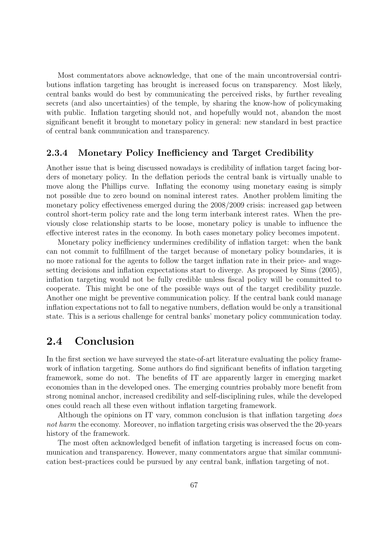Most commentators above acknowledge, that one of the main uncontroversial contributions inflation targeting has brought is increased focus on transparency. Most likely, central banks would do best by communicating the perceived risks, by further revealing secrets (and also uncertainties) of the temple, by sharing the know-how of policymaking with public. Inflation targeting should not, and hopefully would not, abandon the most significant benefit it brought to monetary policy in general: new standard in best practice of central bank communication and transparency.

## 2.3.4 Monetary Policy Inefficiency and Target Credibility

Another issue that is being discussed nowadays is credibility of inflation target facing borders of monetary policy. In the deflation periods the central bank is virtually unable to move along the Phillips curve. Inflating the economy using monetary easing is simply not possible due to zero bound on nominal interest rates. Another problem limiting the monetary policy effectiveness emerged during the 2008/2009 crisis: increased gap between control short-term policy rate and the long term interbank interest rates. When the previously close relationship starts to be loose, monetary policy is unable to influence the effective interest rates in the economy. In both cases monetary policy becomes impotent.

Monetary policy inefficiency undermines credibility of inflation target: when the bank can not commit to fulfillment of the target because of monetary policy boundaries, it is no more rational for the agents to follow the target inflation rate in their price- and wagesetting decisions and inflation expectations start to diverge. As proposed by Sims (2005), inflation targeting would not be fully credible unless fiscal policy will be committed to cooperate. This might be one of the possible ways out of the target credibility puzzle. Another one might be preventive communication policy. If the central bank could manage inflation expectations not to fall to negative numbers, deflation would be only a transitional state. This is a serious challenge for central banks' monetary policy communication today.

## 2.4 Conclusion

In the first section we have surveyed the state-of-art literature evaluating the policy framework of inflation targeting. Some authors do find significant benefits of inflation targeting framework, some do not. The benefits of IT are apparently larger in emerging market economies than in the developed ones. The emerging countries probably more benefit from strong nominal anchor, increased credibility and self-disciplining rules, while the developed ones could reach all these even without inflation targeting framework.

Although the opinions on IT vary, common conclusion is that inflation targeting *does* not harm the economy. Moreover, no inflation targeting crisis was observed the the 20-years history of the framework.

The most often acknowledged benefit of inflation targeting is increased focus on communication and transparency. However, many commentators argue that similar communication best-practices could be pursued by any central bank, inflation targeting of not.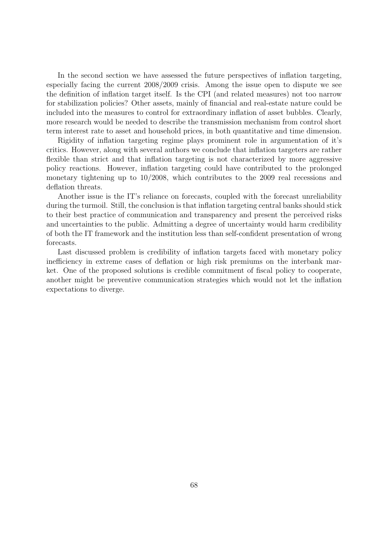In the second section we have assessed the future perspectives of inflation targeting, especially facing the current 2008/2009 crisis. Among the issue open to dispute we see the definition of inflation target itself. Is the CPI (and related measures) not too narrow for stabilization policies? Other assets, mainly of financial and real-estate nature could be included into the measures to control for extraordinary inflation of asset bubbles. Clearly, more research would be needed to describe the transmission mechanism from control short term interest rate to asset and household prices, in both quantitative and time dimension.

Rigidity of inflation targeting regime plays prominent role in argumentation of it's critics. However, along with several authors we conclude that inflation targeters are rather flexible than strict and that inflation targeting is not characterized by more aggressive policy reactions. However, inflation targeting could have contributed to the prolonged monetary tightening up to 10/2008, which contributes to the 2009 real recessions and deflation threats.

Another issue is the IT's reliance on forecasts, coupled with the forecast unreliability during the turmoil. Still, the conclusion is that inflation targeting central banks should stick to their best practice of communication and transparency and present the perceived risks and uncertainties to the public. Admitting a degree of uncertainty would harm credibility of both the IT framework and the institution less than self-confident presentation of wrong forecasts.

Last discussed problem is credibility of inflation targets faced with monetary policy inefficiency in extreme cases of deflation or high risk premiums on the interbank market. One of the proposed solutions is credible commitment of fiscal policy to cooperate, another might be preventive communication strategies which would not let the inflation expectations to diverge.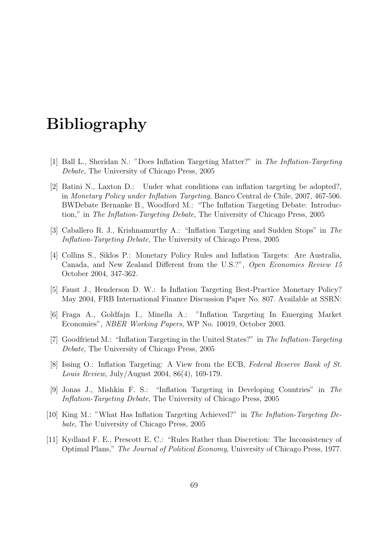# Bibliography

- [1] Ball L., Sheridan N.: "Does Inflation Targeting Matter?" in The Inflation-Targeting Debate, The University of Chicago Press, 2005
- [2] Batini N., Laxton D.: Under what conditions can inflation targeting be adopted?, in Monetary Policy under Inflation Targeting, Banco Central de Chile, 2007, 467-506. BWDebate Bernanke B., Woodford M.: "The Inflation Targeting Debate: Introduction," in The Inflation-Targeting Debate, The University of Chicago Press, 2005
- [3] Caballero R. J., Krishnamurthy A.: "Inflation Targeting and Sudden Stops" in The Inflation-Targeting Debate, The University of Chicago Press, 2005
- [4] Collins S., Siklos P.: Monetary Policy Rules and Inflation Targets: Are Australia, Canada, and New Zealand Different from the U.S.?", Open Economies Review 15 October 2004, 347-362.
- [5] Faust J., Henderson D. W.: Is Inflation Targeting Best-Practice Monetary Policy? May 2004, FRB International Finance Discussion Paper No. 807. Available at SSRN:
- [6] Fraga A., Goldfajn I., Minella A.: "Inflation Targeting In Emerging Market Economies", NBER Working Papers, WP No. 10019, October 2003.
- [7] Goodfriend M.: "Inflation Targeting in the United States?" in The Inflation-Targeting Debate, The University of Chicago Press, 2005
- [8] Issing O.: Inflation Targeting: A View from the ECB, Federal Reserve Bank of St. Louis Review, July/August 2004, 86(4), 169-179.
- [9] Jonas J., Mishkin F. S.: "Inflation Targeting in Developing Countries" in The Inflation-Targeting Debate, The University of Chicago Press, 2005
- [10] King M.: "What Has Inflation Targeting Achieved?" in The Inflation-Targeting Debate, The University of Chicago Press, 2005
- [11] Kydland F. E., Prescott E. C.: "Rules Rather than Discretion: The Inconsistency of Optimal Plans," The Journal of Political Economy, University of Chicago Press, 1977.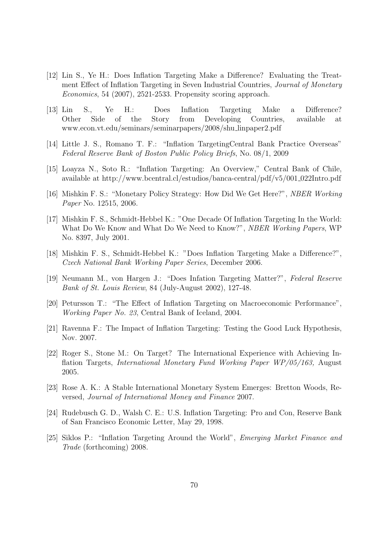- [12] Lin S., Ye H.: Does Inflation Targeting Make a Difference? Evaluating the Treatment Effect of Inflation Targeting in Seven Industrial Countries, Journal of Monetary Economics, 54 (2007), 2521-2533. Propensity scoring approach.
- [13] Lin S., Ye H.: Does Inflation Targeting Make a Difference? Other Side of the Story from Developing Countries, available at www.econ.vt.edu/seminars/seminarpapers/2008/shu linpaper2.pdf
- [14] Little J. S., Romano T. F.: "Inflation TargetingCentral Bank Practice Overseas" Federal Reserve Bank of Boston Public Policy Briefs, No. 08/1, 2009
- [15] Loayza N., Soto R.: "Inflation Targeting: An Overview," Central Bank of Chile, available at http://www.bcentral.cl/estudios/banca-central/pdf/v5/001 022Intro.pdf
- [16] Mishkin F. S.: "Monetary Policy Strategy: How Did We Get Here?", NBER Working Paper No. 12515, 2006.
- [17] Mishkin F. S., Schmidt-Hebbel K.: "One Decade Of Inflation Targeting In the World: What Do We Know and What Do We Need to Know?", NBER Working Papers, WP No. 8397, July 2001.
- [18] Mishkin F. S., Schmidt-Hebbel K.: "Does Inflation Targeting Make a Difference?", Czech National Bank Working Paper Series, December 2006.
- [19] Neumann M., von Hargen J.: "Does Infation Targeting Matter?", Federal Reserve Bank of St. Louis Review, 84 (July-August 2002), 127-48.
- [20] Petursson T.: "The Effect of Inflation Targeting on Macroeconomic Performance", Working Paper No. 23, Central Bank of Iceland, 2004.
- [21] Ravenna F.: The Impact of Inflation Targeting: Testing the Good Luck Hypothesis, Nov. 2007.
- [22] Roger S., Stone M.: On Target? The International Experience with Achieving Inflation Targets, International Monetary Fund Working Paper WP/05/163, August 2005.
- [23] Rose A. K.: A Stable International Monetary System Emerges: Bretton Woods, Reversed, Journal of International Money and Finance 2007.
- [24] Rudebusch G. D., Walsh C. E.: U.S. Inflation Targeting: Pro and Con, Reserve Bank of San Francisco Economic Letter, May 29, 1998.
- [25] Siklos P.: "Inflation Targeting Around the World", Emerging Market Finance and Trade (forthcoming) 2008.